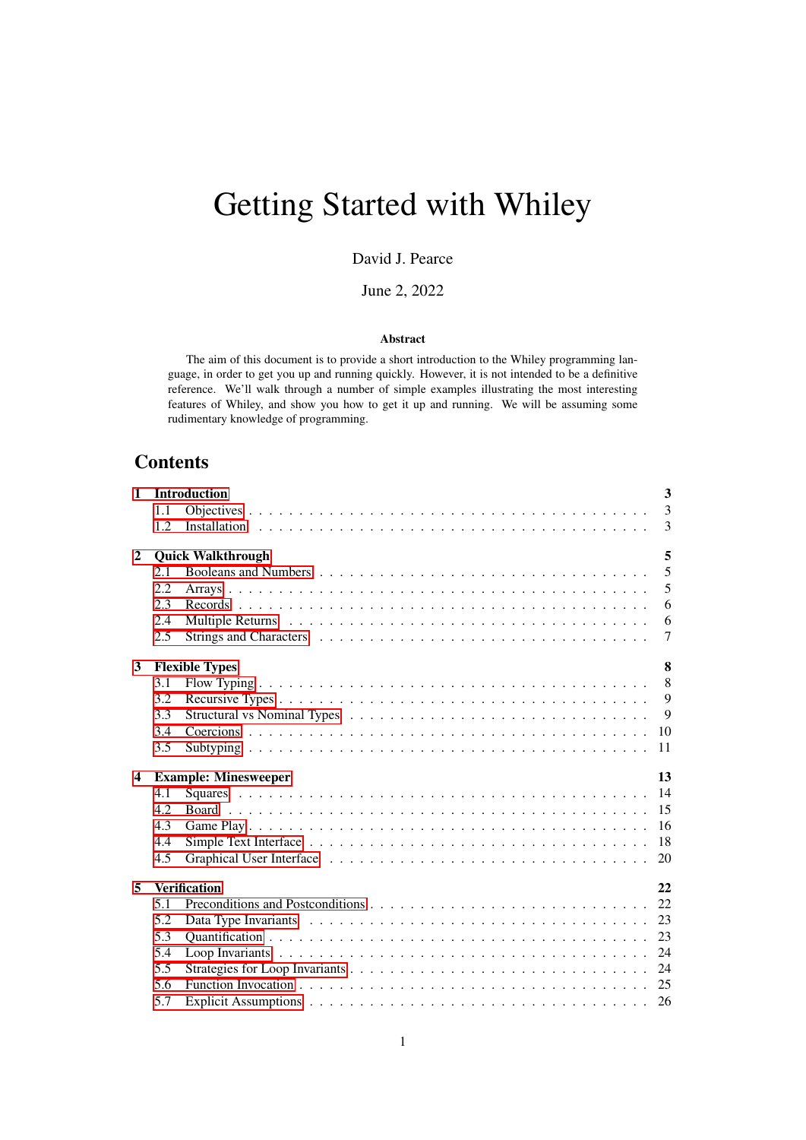# Getting Started with Whiley

David J. Pearce

June 2, 2022

#### Abstract

The aim of this document is to provide a short introduction to the Whiley programming language, in order to get you up and running quickly. However, it is not intended to be a definitive reference. We'll walk through a number of simple examples illustrating the most interesting features of Whiley, and show you how to get it up and running. We will be assuming some rudimentary knowledge of programming.

# **Contents**

| $\mathbf{1}$            |      | $\overline{\mathbf{3}}$<br><b>Introduction</b> |  |  |  |  |  |  |  |  |  |
|-------------------------|------|------------------------------------------------|--|--|--|--|--|--|--|--|--|
|                         | 1.1  | $\overline{3}$                                 |  |  |  |  |  |  |  |  |  |
|                         | 1.2. | 3                                              |  |  |  |  |  |  |  |  |  |
| $\mathbf{2}$            |      | 5<br><b>Quick Walkthrough</b>                  |  |  |  |  |  |  |  |  |  |
|                         | 2.1  | 5                                              |  |  |  |  |  |  |  |  |  |
|                         | 2.2  | 5                                              |  |  |  |  |  |  |  |  |  |
|                         | 2.3  | 6                                              |  |  |  |  |  |  |  |  |  |
|                         | 2.4  | 6                                              |  |  |  |  |  |  |  |  |  |
|                         | 2.5  | $\overline{7}$                                 |  |  |  |  |  |  |  |  |  |
| 3                       |      | 8<br><b>Flexible Types</b>                     |  |  |  |  |  |  |  |  |  |
|                         | 3.1  | 8                                              |  |  |  |  |  |  |  |  |  |
|                         | 3.2  | 9                                              |  |  |  |  |  |  |  |  |  |
|                         | 3.3  | 9                                              |  |  |  |  |  |  |  |  |  |
|                         | 3.4  | 10                                             |  |  |  |  |  |  |  |  |  |
|                         | 3.5  | 11                                             |  |  |  |  |  |  |  |  |  |
| $\overline{\mathbf{4}}$ |      | 13<br><b>Example: Minesweeper</b>              |  |  |  |  |  |  |  |  |  |
|                         | 4.1  | 14                                             |  |  |  |  |  |  |  |  |  |
|                         | 4.2  | 15                                             |  |  |  |  |  |  |  |  |  |
|                         | 4.3  | 16                                             |  |  |  |  |  |  |  |  |  |
|                         | 4.4  | 18                                             |  |  |  |  |  |  |  |  |  |
|                         | 4.5  |                                                |  |  |  |  |  |  |  |  |  |
| 5                       |      | <b>Verification</b><br>22                      |  |  |  |  |  |  |  |  |  |
|                         | 5.1  | 22                                             |  |  |  |  |  |  |  |  |  |
|                         | 5.2  | 23                                             |  |  |  |  |  |  |  |  |  |
|                         | 5.3  | 23                                             |  |  |  |  |  |  |  |  |  |
|                         | 5.4  | 24                                             |  |  |  |  |  |  |  |  |  |
|                         | 5.5  |                                                |  |  |  |  |  |  |  |  |  |
|                         | 5.6  |                                                |  |  |  |  |  |  |  |  |  |
|                         | 5.7  |                                                |  |  |  |  |  |  |  |  |  |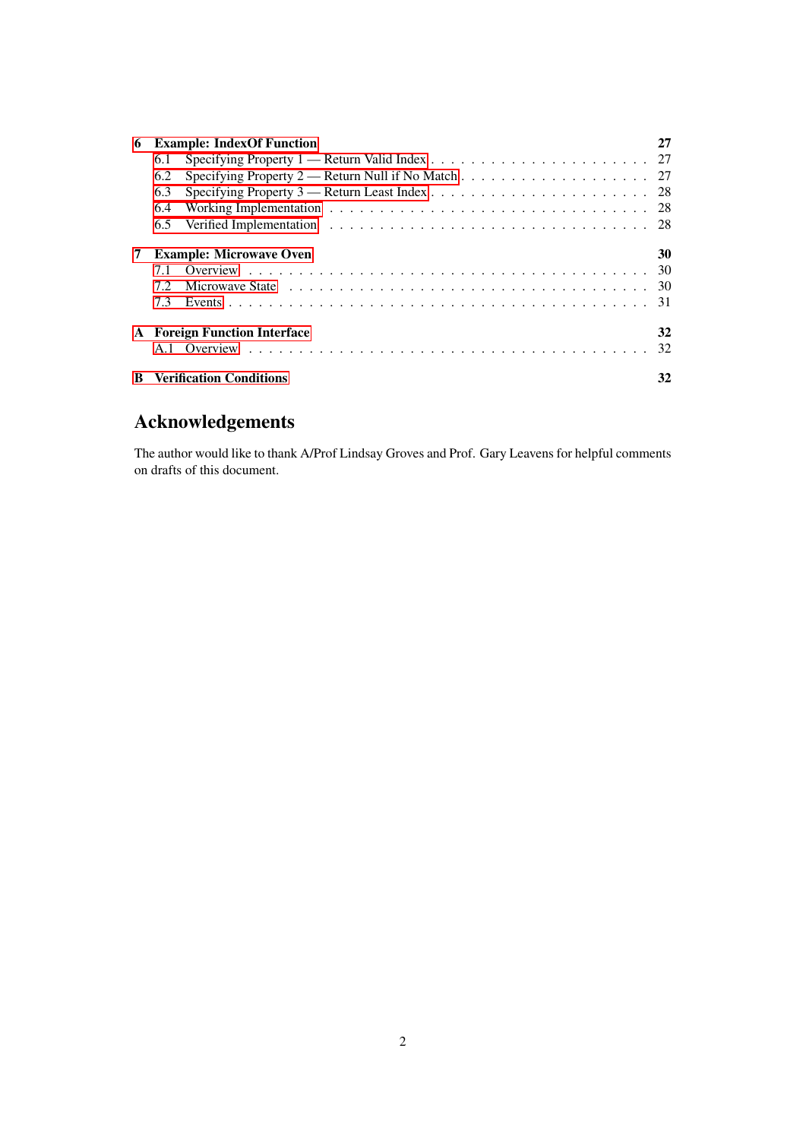| 6 |     | <b>Example: IndexOf Function</b>    | 27 |
|---|-----|-------------------------------------|----|
|   | 6.1 |                                     |    |
|   | 6.2 |                                     |    |
|   | 6.3 |                                     |    |
|   | 6.4 |                                     |    |
|   | 6.5 |                                     |    |
| 7 |     | <b>Example: Microwave Oven</b>      | 30 |
|   | 7.1 |                                     |    |
|   | 7.2 |                                     |    |
|   | 7.3 |                                     |    |
|   |     | <b>A</b> Foreign Function Interface | 32 |
|   |     |                                     | 32 |
| B |     | <b>Verification Conditions</b>      | 32 |

# Acknowledgements

The author would like to thank A/Prof Lindsay Groves and Prof. Gary Leavens for helpful comments on drafts of this document.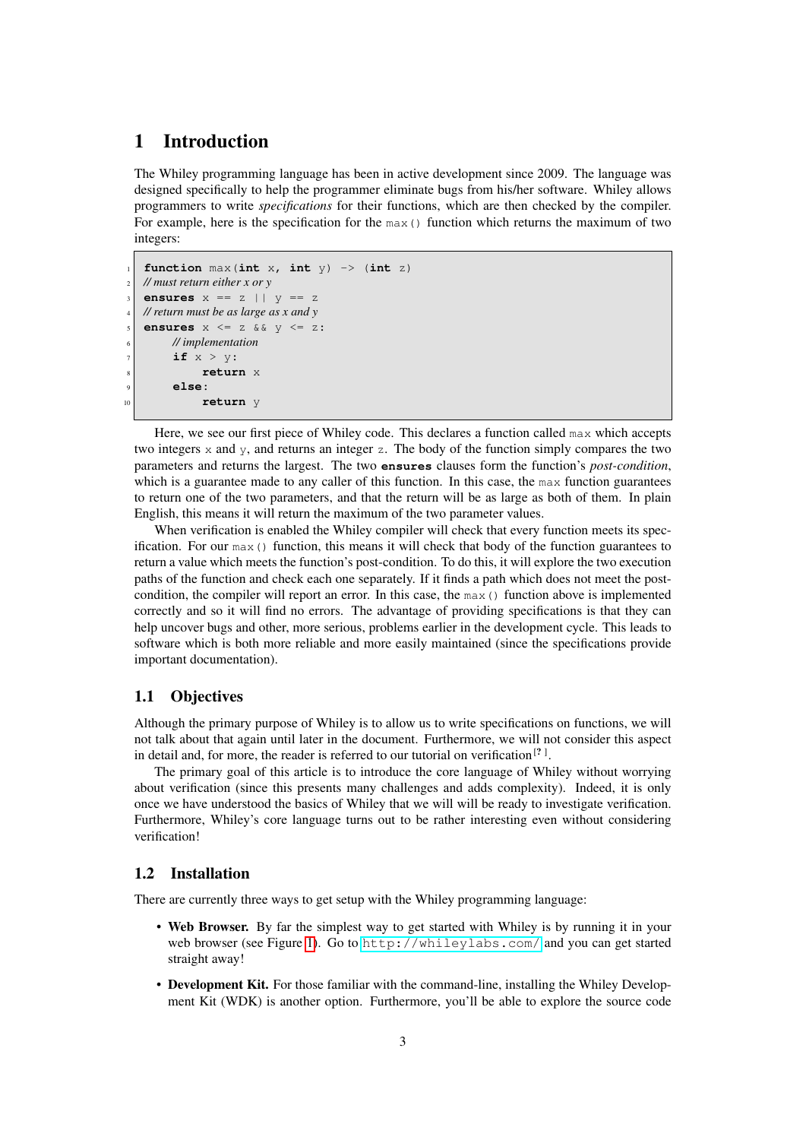# <span id="page-2-0"></span>1 Introduction

The Whiley programming language has been in active development since 2009. The language was designed specifically to help the programmer eliminate bugs from his/her software. Whiley allows programmers to write *specifications* for their functions, which are then checked by the compiler. For example, here is the specification for the  $max($ ) function which returns the maximum of two integers:

```
function max(int x, int y) \rightarrow (int z)
2 // must return either x or y
   ensures x == z || y == z4 // return must be as large as x and y
   ensures x \leq z & x \leq y \leq z:
        6 // implementation
        if x > y:
             8 return x
        9 else:
10 return y
```
Here, we see our first piece of Whiley code. This declares a function called max which accepts two integers  $x$  and  $y$ , and returns an integer  $z$ . The body of the function simply compares the two parameters and returns the largest. The two **ensures** clauses form the function's *post-condition*, which is a guarantee made to any caller of this function. In this case, the  $\max$  function guarantees to return one of the two parameters, and that the return will be as large as both of them. In plain English, this means it will return the maximum of the two parameter values.

When verification is enabled the Whiley compiler will check that every function meets its specification. For our  $max($ ) function, this means it will check that body of the function guarantees to return a value which meets the function's post-condition. To do this, it will explore the two execution paths of the function and check each one separately. If it finds a path which does not meet the postcondition, the compiler will report an error. In this case, the  $max($ ) function above is implemented correctly and so it will find no errors. The advantage of providing specifications is that they can help uncover bugs and other, more serious, problems earlier in the development cycle. This leads to software which is both more reliable and more easily maintained (since the specifications provide important documentation).

#### <span id="page-2-1"></span>1.1 Objectives

Although the primary purpose of Whiley is to allow us to write specifications on functions, we will not talk about that again until later in the document. Furthermore, we will not consider this aspect in detail and, for more, the reader is referred to our tutorial on verification<sup>[?]</sup>.

The primary goal of this article is to introduce the core language of Whiley without worrying about verification (since this presents many challenges and adds complexity). Indeed, it is only once we have understood the basics of Whiley that we will will be ready to investigate verification. Furthermore, Whiley's core language turns out to be rather interesting even without considering verification!

#### <span id="page-2-2"></span>1.2 Installation

There are currently three ways to get setup with the Whiley programming language:

- Web Browser. By far the simplest way to get started with Whiley is by running it in your web browser (see Figure [1\)](#page-3-0). Go to <http://whileylabs.com/> and you can get started straight away!
- Development Kit. For those familiar with the command-line, installing the Whiley Development Kit (WDK) is another option. Furthermore, you'll be able to explore the source code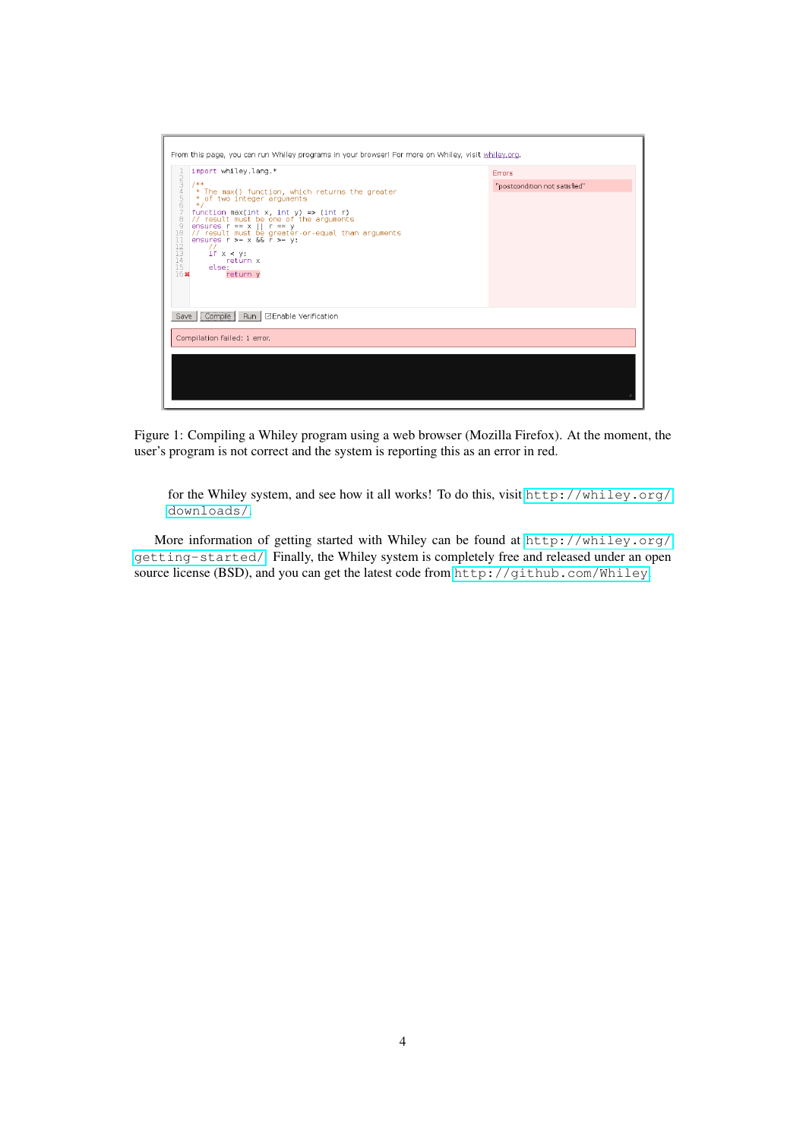

<span id="page-3-0"></span>Figure 1: Compiling a Whiley program using a web browser (Mozilla Firefox). At the moment, the user's program is not correct and the system is reporting this as an error in red.

for the Whiley system, and see how it all works! To do this, visit [http://whiley.org/](http://whiley.org/downloads/) [downloads/](http://whiley.org/downloads/).

More information of getting started with Whiley can be found at [http://whiley.org/](http://whiley.org/getting-started/) [getting-started/](http://whiley.org/getting-started/). Finally, the Whiley system is completely free and released under an open source license (BSD), and you can get the latest code from <http://github.com/Whiley>.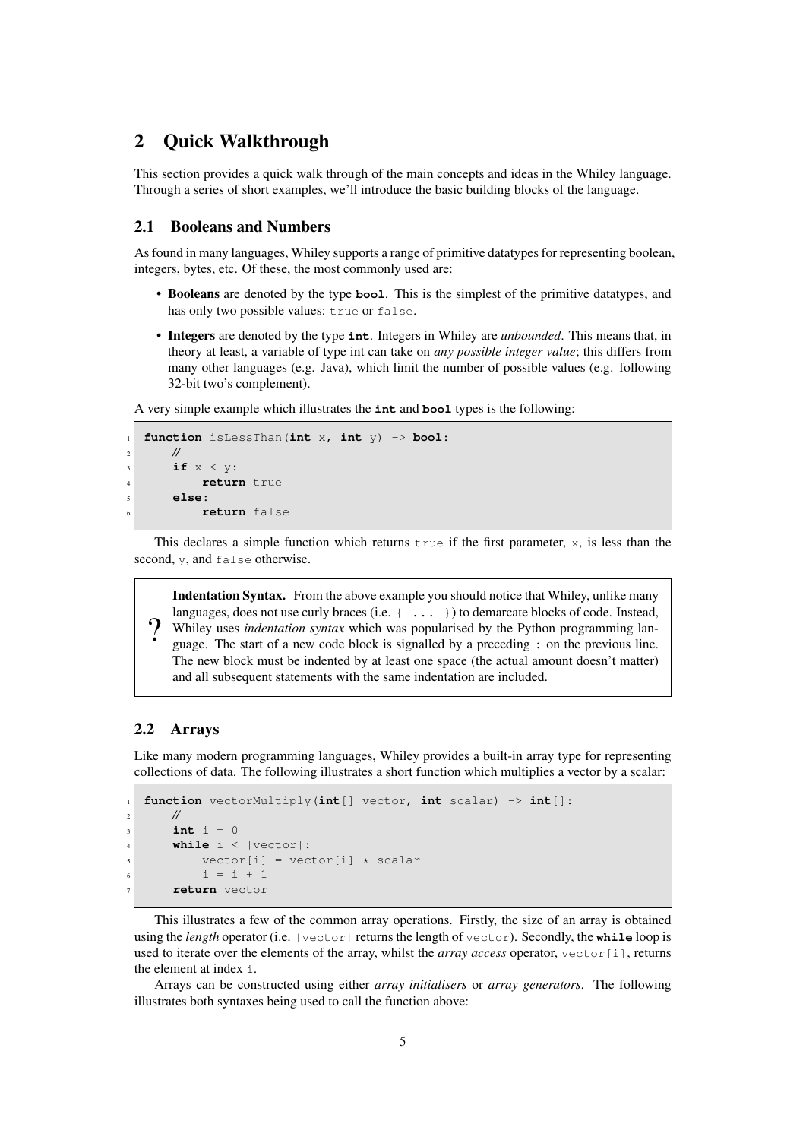# <span id="page-4-0"></span>2 Quick Walkthrough

This section provides a quick walk through of the main concepts and ideas in the Whiley language. Through a series of short examples, we'll introduce the basic building blocks of the language.

#### <span id="page-4-1"></span>2.1 Booleans and Numbers

As found in many languages, Whiley supports a range of primitive datatypes for representing boolean, integers, bytes, etc. Of these, the most commonly used are:

- Booleans are denoted by the type **bool**. This is the simplest of the primitive datatypes, and has only two possible values: true or false.
- Integers are denoted by the type **int**. Integers in Whiley are *unbounded*. This means that, in theory at least, a variable of type int can take on *any possible integer value*; this differs from many other languages (e.g. Java), which limit the number of possible values (e.g. following 32-bit two's complement).

A very simple example which illustrates the **int** and **bool** types is the following:

```
1 function isLessThan(int x, int y) -> bool:
    2 //
    if x < y:
         return true
    5 else:
         6 return false
```
This declares a simple function which returns  $\tau$  and if the first parameter, x, is less than the second, y, and false otherwise.

Indentation Syntax. From the above example you should notice that Whiley, unlike many languages, does not use curly braces (i.e.  $\{\ldots\}$ ) to demarcate blocks of code. Instead, Whiley uses *indentation syntax* which was popularised by the Python programming language. The start of a new code block is signalled by a preceding : on the previous line. The new block must be indented by at least one space (the actual amount doesn't matter) and all subsequent statements with the same indentation are included.

#### <span id="page-4-2"></span>2.2 Arrays

 $\Omega$ 

Like many modern programming languages, Whiley provides a built-in array type for representing collections of data. The following illustrates a short function which multiplies a vector by a scalar:

```
1 function vectorMultiply(int[] vector, int scalar) -> int[]:
    2 //
    int i = 0while i \leq |vector|:
        vector[i] = vector[i] * scalari = i + 17 return vector
```
This illustrates a few of the common array operations. Firstly, the size of an array is obtained using the *length* operator (i.e. |vector| returns the length of vector). Secondly, the **while** loop is used to iterate over the elements of the array, whilst the *array access* operator, vector [i], returns the element at index i.

Arrays can be constructed using either *array initialisers* or *array generators*. The following illustrates both syntaxes being used to call the function above: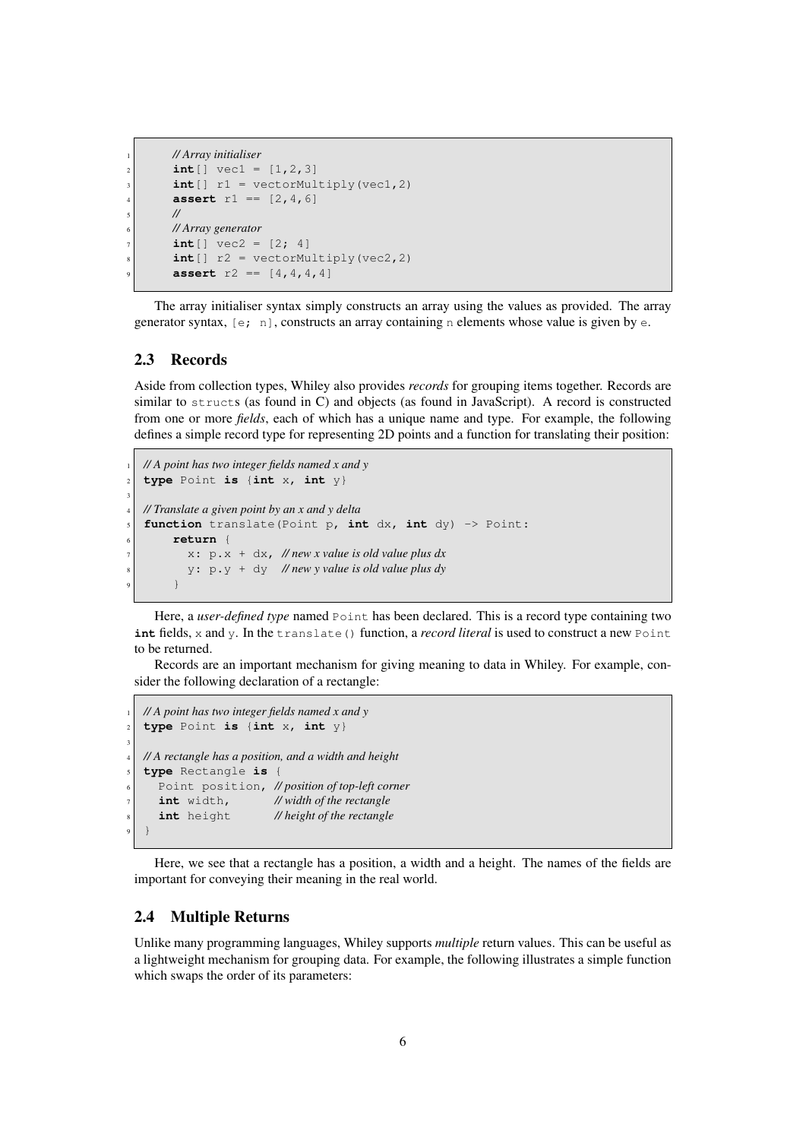```
1 // Array initialiser
int[] vec1 = [1, 2, 3]int[] r1 = vectorMultiply(vec1,2)assert r1 == [2, 4, 6]5 //
6 // Array generator
int[] vec2 = [2; 4]int[] r2 = vectorMultiply(vec2,2)assert r2 = [4, 4, 4, 4]
```
The array initialiser syntax simply constructs an array using the values as provided. The array generator syntax,  $[e; n]$ , constructs an array containing n elements whose value is given by e.

#### <span id="page-5-0"></span>2.3 Records

Aside from collection types, Whiley also provides *records* for grouping items together. Records are similar to structs (as found in C) and objects (as found in JavaScript). A record is constructed from one or more *fields*, each of which has a unique name and type. For example, the following defines a simple record type for representing 2D points and a function for translating their position:

```
1 // A point has two integer fields named x and y
\mathbf{z} type Point is {int x, int y}
3
  4 // Translate a given point by an x and y delta
   5 function translate(Point p, int dx, int dy) -> Point:
        6 return {
           7 x: p.x + dx, // new x value is old value plus dx
           8 y: p.y + dy // new y value is old value plus dy
        \}
```
Here, a *user-defined type* named Point has been declared. This is a record type containing two **int** fields, x and y. In the translate() function, a *record literal* is used to construct a new Point to be returned.

Records are an important mechanism for giving meaning to data in Whiley. For example, consider the following declaration of a rectangle:

```
1 // A point has two integer fields named x and y
  2 type Point is {int x, int y}
3
  4 // A rectangle has a position, and a width and height
  5 type Rectangle is {
     6 Point position, // position of top-left corner
     int width, // width of the rectangle
     8 int height // height of the rectangle
9 }
```
Here, we see that a rectangle has a position, a width and a height. The names of the fields are important for conveying their meaning in the real world.

#### <span id="page-5-1"></span>2.4 Multiple Returns

Unlike many programming languages, Whiley supports *multiple* return values. This can be useful as a lightweight mechanism for grouping data. For example, the following illustrates a simple function which swaps the order of its parameters: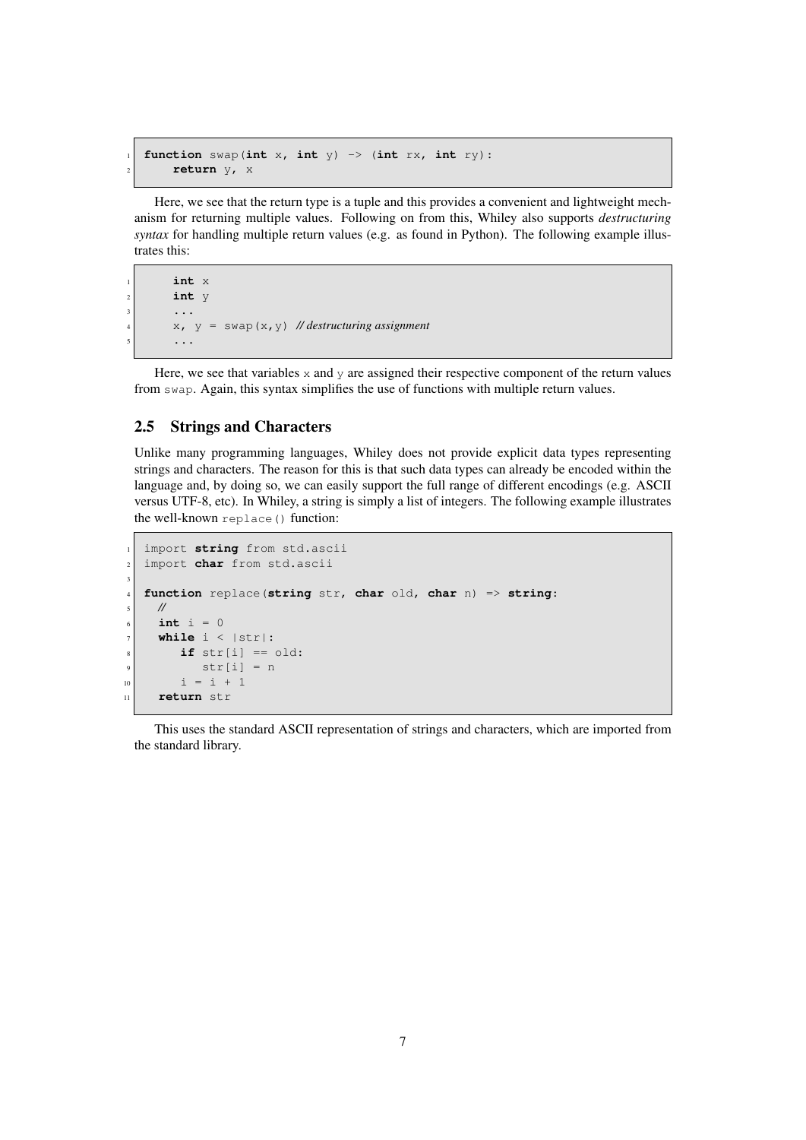```
1 function swap(int x, int y) -> (int rx, int ry):
    2 return y, x
```
Here, we see that the return type is a tuple and this provides a convenient and lightweight mechanism for returning multiple values. Following on from this, Whiley also supports *destructuring syntax* for handling multiple return values (e.g. as found in Python). The following example illustrates this:

```
1 int x
int y
3 ...
4 x, y = swap(x,y) // destructuring assignment
5 ...
```
Here, we see that variables  $x$  and  $y$  are assigned their respective component of the return values from swap. Again, this syntax simplifies the use of functions with multiple return values.

#### <span id="page-6-0"></span>2.5 Strings and Characters

Unlike many programming languages, Whiley does not provide explicit data types representing strings and characters. The reason for this is that such data types can already be encoded within the language and, by doing so, we can easily support the full range of different encodings (e.g. ASCII versus UTF-8, etc). In Whiley, a string is simply a list of integers. The following example illustrates the well-known replace() function:

```
import string from std.ascii
2 import char from std.ascii
3
  4 function replace(string str, char old, char n) => string:
    5 //
    int i = 0while i < |str|:
       if str[i] == old:str[i] = n10 i = i + 1
11 return str
```
This uses the standard ASCII representation of strings and characters, which are imported from the standard library.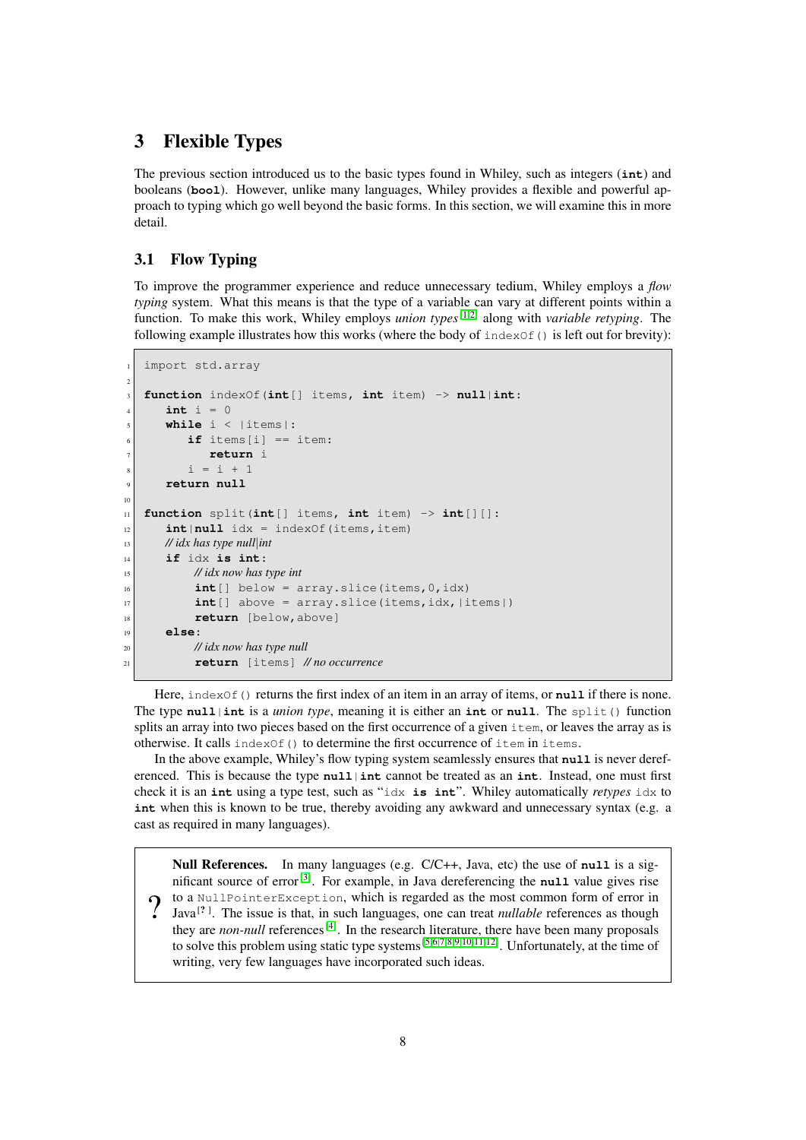# <span id="page-7-0"></span>3 Flexible Types

The previous section introduced us to the basic types found in Whiley, such as integers (**int**) and booleans (**bool**). However, unlike many languages, Whiley provides a flexible and powerful approach to typing which go well beyond the basic forms. In this section, we will examine this in more detail.

# <span id="page-7-1"></span>3.1 Flow Typing

To improve the programmer experience and reduce unnecessary tedium, Whiley employs a *flow typing* system. What this means is that the type of a variable can vary at different points within a function. To make this work, Whiley employs *union types*[\[1](#page-31-3)[;2\]](#page-31-4) along with *variable retyping*. The following example illustrates how this works (where the body of  $indexOf()$  is left out for brevity):

```
import std.array
2
   3 function indexOf(int[] items, int item) -> null|int:
      int i = 05 while i < |items|:
          if items[i] == item:
             7 return i
          i = i + 19 return null
10
11 function split(int[] items, int item) -> int[][]:
\begin{bmatrix} 12 \end{bmatrix} int | null \begin{bmatrix} 1 \end{bmatrix} dx = index Of (items, item)
13 // idx has type null|int
14 if idx is int:
15 // idx now has type int
\text{int}[\ ] below = array.slice(items, 0, idx)
\text{int} [] above = array.slice(items, idx, | items|)
18 return [below, above]
19 else:
20 // idx now has type null
21 return [items] // no occurrence
```
Here, index of () returns the first index of an item in an array of items, or **null** if there is none. The type **null**|**int** is a *union type*, meaning it is either an **int** or **null**. The split() function splits an array into two pieces based on the first occurrence of a given item, or leaves the array as is otherwise. It calls index $Of()$  to determine the first occurrence of item in items.

In the above example, Whiley's flow typing system seamlessly ensures that **null** is never dereferenced. This is because the type **null**|**int** cannot be treated as an **int**. Instead, one must first check it is an **int** using a type test, such as "idx **is int**". Whiley automatically *retypes* idx to **int** when this is known to be true, thereby avoiding any awkward and unnecessary syntax (e.g. a cast as required in many languages).

 $\Omega$ Null References. In many languages (e.g. C/C++, Java, etc) the use of **null** is a significant source of  $error^{[3]}$  $error^{[3]}$  $error^{[3]}$ . For example, in Java dereferencing the **null** value gives rise to a NullPointerException, which is regarded as the most common form of error in Java<sup>[?]</sup>. The issue is that, in such languages, one can treat *nullable* references as though they are *non-null* references<sup>[\[4\]](#page-32-1)</sup>. In the research literature, there have been many proposals to solve this problem using static type systems<sup>[\[5;](#page-32-2)[6](#page-32-3)[;7;](#page-32-4)[8;](#page-32-5)[9](#page-32-6)[;10](#page-32-7)[;11](#page-32-8)[;12\]](#page-32-9)</sup>. Unfortunately, at the time of writing, very few languages have incorporated such ideas.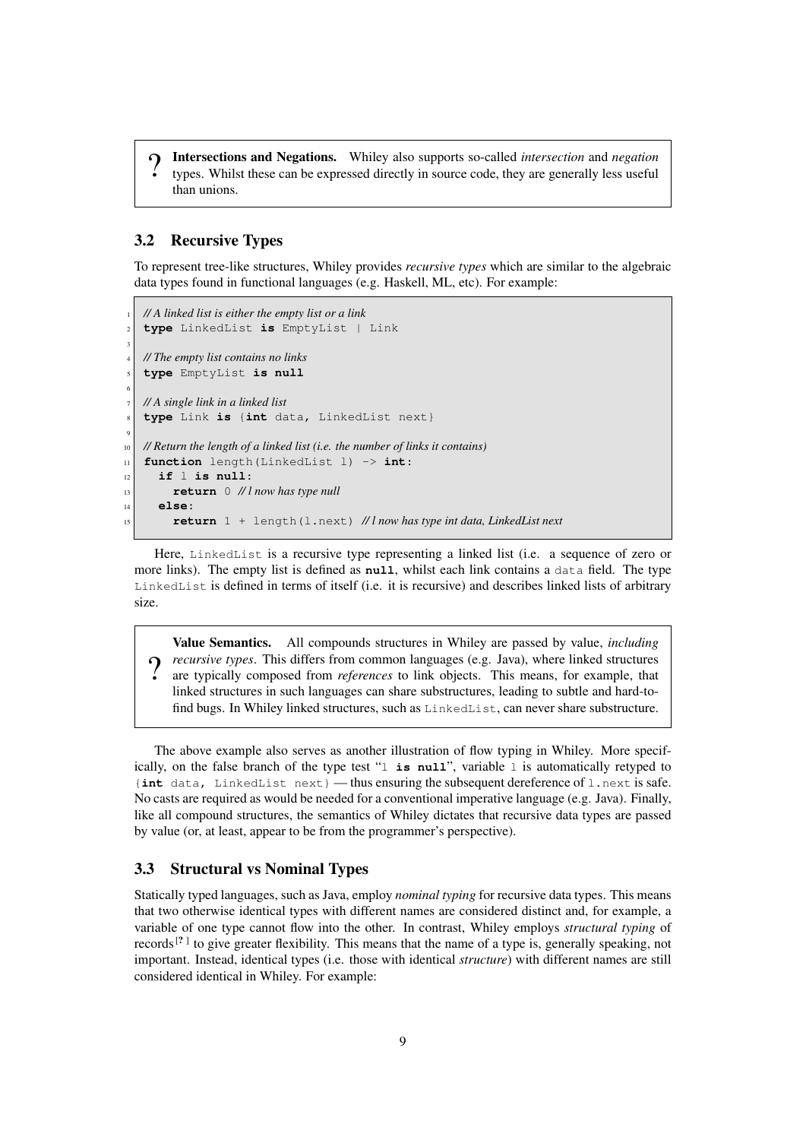$\Omega$ Intersections and Negations. Whiley also supports so-called *intersection* and *negation* types. Whilst these can be expressed directly in source code, they are generally less useful than unions.

#### <span id="page-8-0"></span>3.2 Recursive Types

To represent tree-like structures, Whiley provides *recursive types* which are similar to the algebraic data types found in functional languages (e.g. Haskell, ML, etc). For example:

```
1 // A linked list is either the empty list or a link
   2 type LinkedList is EmptyList | Link
3
   4 // The empty list contains no links
   5 type EmptyList is null
6
   7 // A single link in a linked list
   8 type Link is {int data, LinkedList next}
9
10 // Return the length of a linked list (i.e. the number of links it contains)
11 function length(LinkedList l) -> int:
12 if l is null:
13 return 0 // l now has type null
14 else:
15 return 1 + length(l.next) // l now has type int data, LinkedList next
```
Here, LinkedList is a recursive type representing a linked list (i.e. a sequence of zero or more links). The empty list is defined as **null**, whilst each link contains a data field. The type LinkedList is defined in terms of itself (i.e. it is recursive) and describes linked lists of arbitrary size.

 $\Omega$ Value Semantics. All compounds structures in Whiley are passed by value, *including recursive types*. This differs from common languages (e.g. Java), where linked structures are typically composed from *references* to link objects. This means, for example, that linked structures in such languages can share substructures, leading to subtle and hard-tofind bugs. In Whiley linked structures, such as LinkedList, can never share substructure.

The above example also serves as another illustration of flow typing in Whiley. More specifically, on the false branch of the type test "l **is null**", variable l is automatically retyped to {**int** data, LinkedList next} — thus ensuring the subsequent dereference of l.next is safe. No casts are required as would be needed for a conventional imperative language (e.g. Java). Finally, like all compound structures, the semantics of Whiley dictates that recursive data types are passed by value (or, at least, appear to be from the programmer's perspective).

#### <span id="page-8-1"></span>3.3 Structural vs Nominal Types

Statically typed languages, such as Java, employ *nominal typing* for recursive data types. This means that two otherwise identical types with different names are considered distinct and, for example, a variable of one type cannot flow into the other. In contrast, Whiley employs *structural typing* of records<sup>[?]</sup> to give greater flexibility. This means that the name of a type is, generally speaking, not important. Instead, identical types (i.e. those with identical *structure*) with different names are still considered identical in Whiley. For example: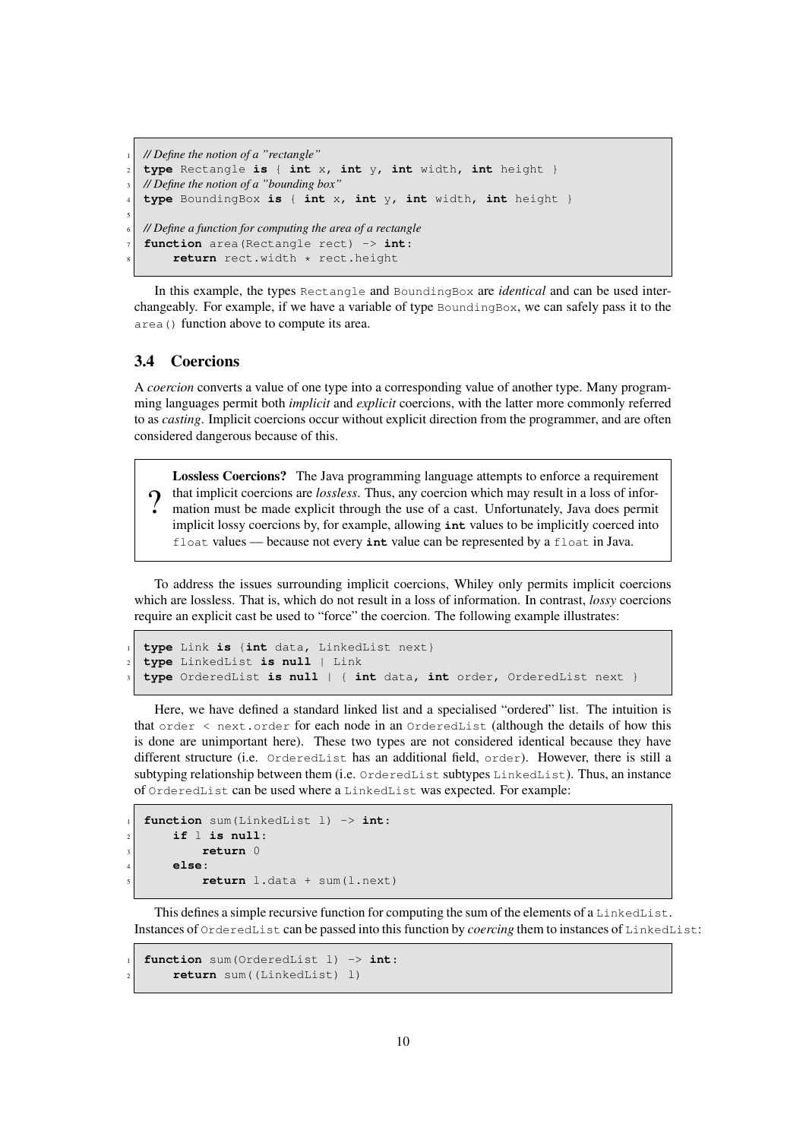```
1 // Define the notion of a "rectangle"
  2 type Rectangle is { int x, int y, int width, int height }
  3 // Define the notion of a "bounding box"
  4 type BoundingBox is { int x, int y, int width, int height }
5
  6 // Define a function for computing the area of a rectangle
  function area(Rectangle rect) -> int:
       8 return rect.width * rect.height
```
In this example, the types Rectangle and BoundingBox are *identical* and can be used interchangeably. For example, if we have a variable of type  $BoundedX$ , we can safely pass it to the area() function above to compute its area.

#### <span id="page-9-0"></span>3.4 Coercions

A *coercion* converts a value of one type into a corresponding value of another type. Many programming languages permit both *implicit* and *explicit* coercions, with the latter more commonly referred to as *casting*. Implicit coercions occur without explicit direction from the programmer, and are often considered dangerous because of this.

 $\Omega$ Lossless Coercions? The Java programming language attempts to enforce a requirement that implicit coercions are *lossless*. Thus, any coercion which may result in a loss of information must be made explicit through the use of a cast. Unfortunately, Java does permit implicit lossy coercions by, for example, allowing **int** values to be implicitly coerced into float values — because not every **int** value can be represented by a float in Java.

To address the issues surrounding implicit coercions, Whiley only permits implicit coercions which are lossless. That is, which do not result in a loss of information. In contrast, *lossy* coercions require an explicit cast be used to "force" the coercion. The following example illustrates:

```
1 type Link is {int data, LinkedList next}
2 type LinkedList is null | Link
3 type OrderedList is null | { int data, int order, OrderedList next }
```
Here, we have defined a standard linked list and a specialised "ordered" list. The intuition is that order < next.order for each node in an OrderedList (although the details of how this is done are unimportant here). These two types are not considered identical because they have different structure (i.e. OrderedList has an additional field, order). However, there is still a subtyping relationship between them (i.e. OrderedList subtypes LinkedList). Thus, an instance of OrderedList can be used where a LinkedList was expected. For example:

```
1 function sum(LinkedList l) -> int:
    2 if l is null:
         3 return 0
    4 else:
         5 return l.data + sum(l.next)
```
This defines a simple recursive function for computing the sum of the elements of a LinkedList. Instances of OrderedList can be passed into this function by *coercing* them to instances of LinkedList:

```
1 function sum(OrderedList l) -> int:
    2 return sum((LinkedList) l)
```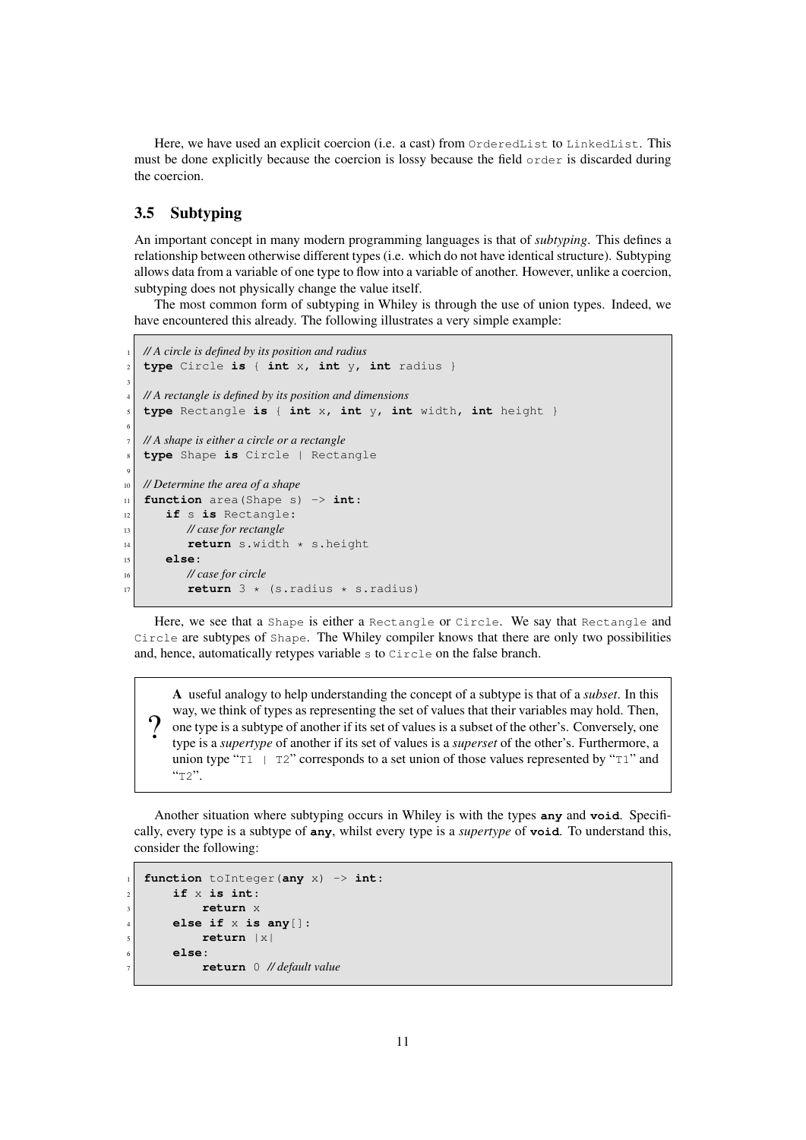Here, we have used an explicit coercion (i.e. a cast) from OrderedList to LinkedList. This must be done explicitly because the coercion is lossy because the field  $\sigma$ rder is discarded during the coercion.

## <span id="page-10-0"></span>3.5 Subtyping

An important concept in many modern programming languages is that of *subtyping*. This defines a relationship between otherwise different types (i.e. which do not have identical structure). Subtyping allows data from a variable of one type to flow into a variable of another. However, unlike a coercion, subtyping does not physically change the value itself.

The most common form of subtyping in Whiley is through the use of union types. Indeed, we have encountered this already. The following illustrates a very simple example:

```
1 // A circle is defined by its position and radius
   2 type Circle is { int x, int y, int radius }
3
  4 // A rectangle is defined by its position and dimensions
   5 type Rectangle is { int x, int y, int width, int height }
6
   7 // A shape is either a circle or a rectangle
   8 type Shape is Circle | Rectangle
9
10 // Determine the area of a shape
11 function area(Shape s) -> int:
12 if s is Rectangle:
13 // case for rectangle
14 return s.width * s.height
15 else:
16 // case for circle
17 return 3 \times (s.radius * s.radius)
```
Here, we see that a Shape is either a Rectangle or Circle. We say that Rectangle and Circle are subtypes of Shape. The Whiley compiler knows that there are only two possibilities and, hence, automatically retypes variable s to Circle on the false branch.

? A useful analogy to help understanding the concept of a subtype is that of a *subset*. In this way, we think of types as representing the set of values that their variables may hold. Then, one type is a subtype of another if its set of values is a subset of the other's. Conversely, one type is a *supertype* of another if its set of values is a *superset* of the other's. Furthermore, a union type " $T1$  |  $T2$ " corresponds to a set union of those values represented by " $T1$ " and  $"T2"$ .

Another situation where subtyping occurs in Whiley is with the types **any** and **void**. Specifically, every type is a subtype of **any**, whilst every type is a *supertype* of **void**. To understand this, consider the following:

```
1 function toInteger(any x) -> int:
    2 if x is int:
         3 return x
    4 else if x is any[]:
         5 return |x|
    6 else:
         7 return 0 // default value
```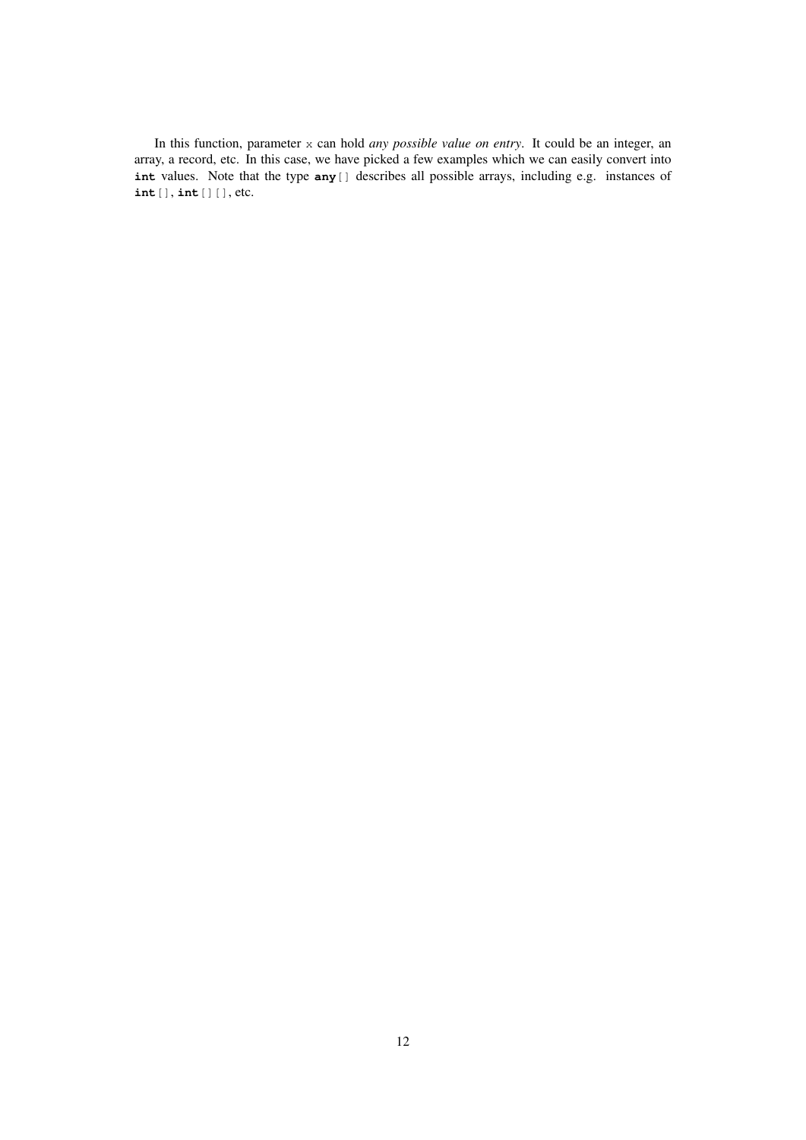In this function, parameter x can hold *any possible value on entry*. It could be an integer, an array, a record, etc. In this case, we have picked a few examples which we can easily convert into **int** values. Note that the type **any**[] describes all possible arrays, including e.g. instances of **int**[], **int**[][], etc.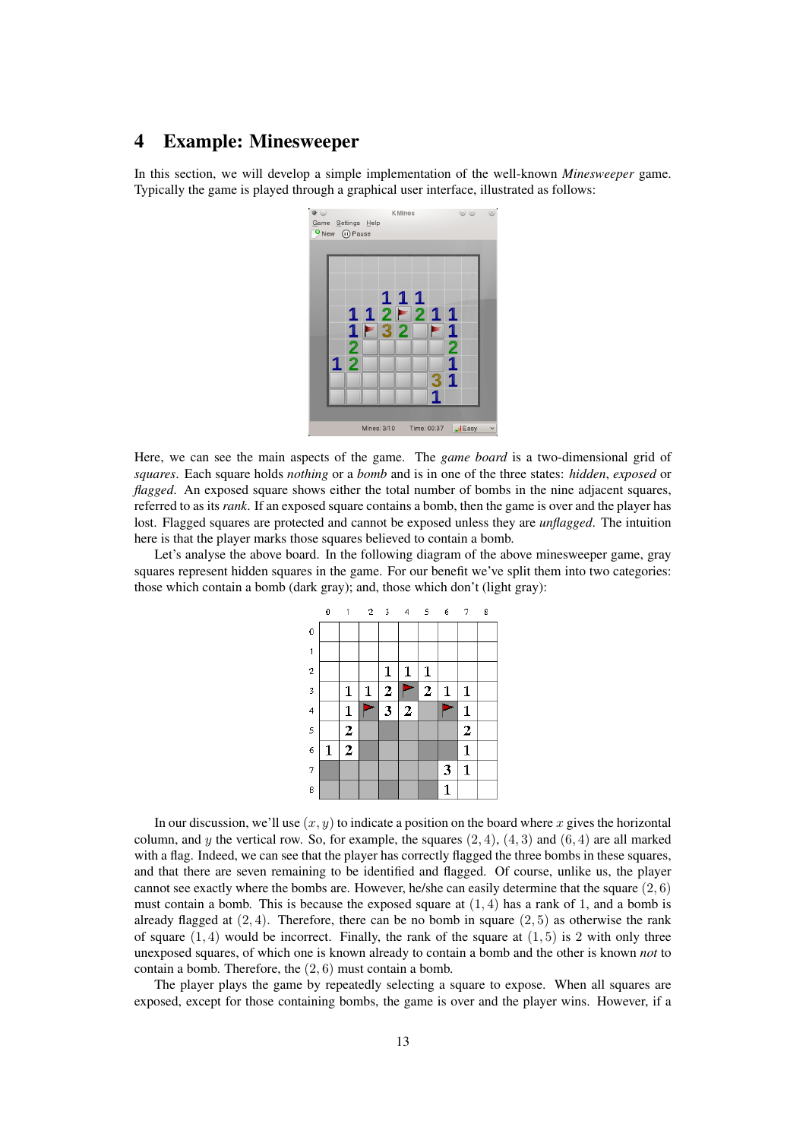# <span id="page-12-0"></span>4 Example: Minesweeper

In this section, we will develop a simple implementation of the well-known *Minesweeper* game. Typically the game is played through a graphical user interface, illustrated as follows:



Here, we can see the main aspects of the game. The *game board* is a two-dimensional grid of *squares*. Each square holds *nothing* or a *bomb* and is in one of the three states: *hidden*, *exposed* or *flagged*. An exposed square shows either the total number of bombs in the nine adjacent squares, referred to as its *rank*. If an exposed square contains a bomb, then the game is over and the player has lost. Flagged squares are protected and cannot be exposed unless they are *unflagged*. The intuition here is that the player marks those squares believed to contain a bomb.

Let's analyse the above board. In the following diagram of the above minesweeper game, gray squares represent hidden squares in the game. For our benefit we've split them into two categories: those which contain a bomb (dark gray); and, those which don't (light gray):

|              | 0 | 1                | $\mathbf{2}^-$ | $\overline{\mathbf{3}}$ | 4              | 5              | 6            | 7              | 8 |
|--------------|---|------------------|----------------|-------------------------|----------------|----------------|--------------|----------------|---|
| 0            |   |                  |                |                         |                |                |              |                |   |
| $\mathbf{1}$ |   |                  |                |                         |                |                |              |                |   |
| $\mathbf{2}$ |   |                  |                | 1                       | $\mathbf 1$    | $\mathbf 1$    |              |                |   |
| 3            |   | 1                | 1              | $\overline{2}$          |                | $\overline{2}$ | 1            | 1              |   |
| 4            |   | 1                |                | 3                       | $\overline{2}$ |                |              | $\mathbf{1}$   |   |
| 5            |   | $\overline{2}$   |                |                         |                |                |              | $\overline{2}$ |   |
| 6            | 1 | $\boldsymbol{2}$ |                |                         |                |                |              | $\mathbf{1}$   |   |
| 7            |   |                  |                |                         |                |                | 3            | $\mathbf{1}$   |   |
| 8            |   |                  |                |                         |                |                | $\mathbf{1}$ |                |   |

In our discussion, we'll use  $(x, y)$  to indicate a position on the board where x gives the horizontal column, and y the vertical row. So, for example, the squares  $(2, 4)$ ,  $(4, 3)$  and  $(6, 4)$  are all marked with a flag. Indeed, we can see that the player has correctly flagged the three bombs in these squares, and that there are seven remaining to be identified and flagged. Of course, unlike us, the player cannot see exactly where the bombs are. However, he/she can easily determine that the square  $(2, 6)$ must contain a bomb. This is because the exposed square at  $(1, 4)$  has a rank of 1, and a bomb is already flagged at  $(2, 4)$ . Therefore, there can be no bomb in square  $(2, 5)$  as otherwise the rank of square  $(1, 4)$  would be incorrect. Finally, the rank of the square at  $(1, 5)$  is 2 with only three unexposed squares, of which one is known already to contain a bomb and the other is known *not* to contain a bomb. Therefore, the (2, 6) must contain a bomb.

The player plays the game by repeatedly selecting a square to expose. When all squares are exposed, except for those containing bombs, the game is over and the player wins. However, if a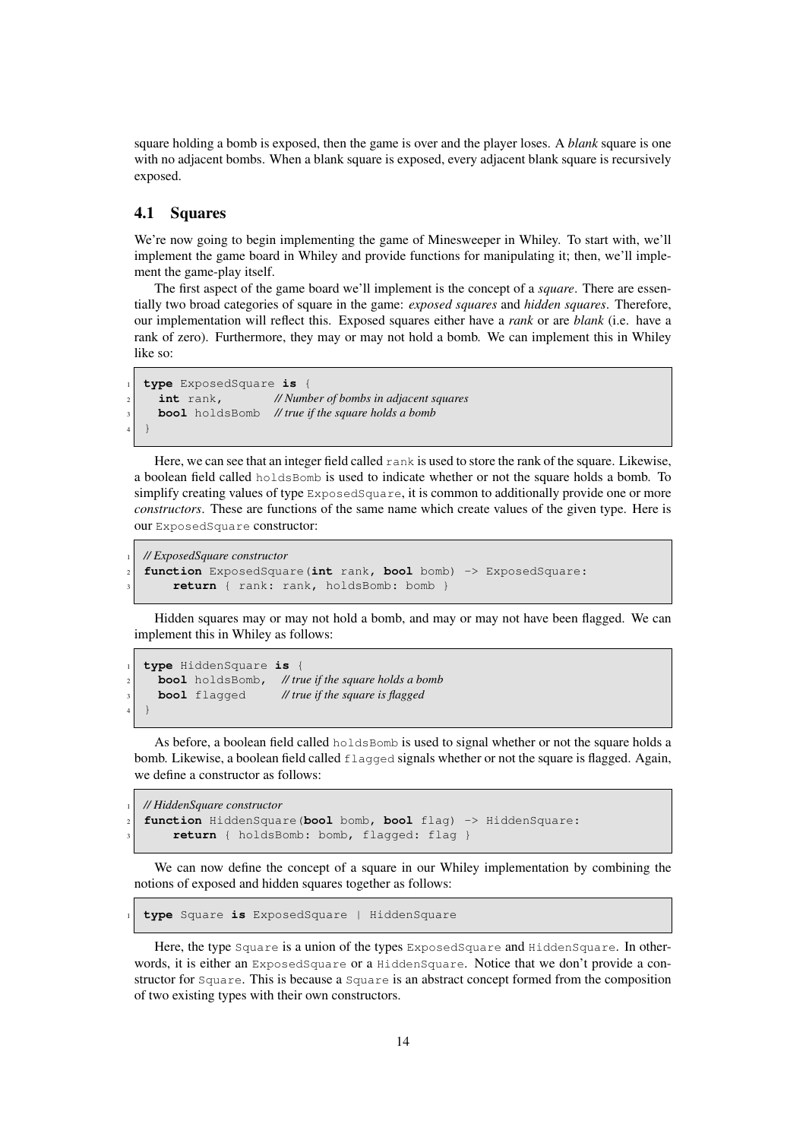square holding a bomb is exposed, then the game is over and the player loses. A *blank* square is one with no adjacent bombs. When a blank square is exposed, every adjacent blank square is recursively exposed.

#### <span id="page-13-0"></span>4.1 Squares

We're now going to begin implementing the game of Minesweeper in Whiley. To start with, we'll implement the game board in Whiley and provide functions for manipulating it; then, we'll implement the game-play itself.

The first aspect of the game board we'll implement is the concept of a *square*. There are essentially two broad categories of square in the game: *exposed squares* and *hidden squares*. Therefore, our implementation will reflect this. Exposed squares either have a *rank* or are *blank* (i.e. have a rank of zero). Furthermore, they may or may not hold a bomb. We can implement this in Whiley like so:

```
1 type ExposedSquare is {
     2 int rank, // Number of bombs in adjacent squares
     3 bool holdsBomb // true if the square holds a bomb
4 \mid \}
```
Here, we can see that an integer field called rank is used to store the rank of the square. Likewise, a boolean field called holdsBomb is used to indicate whether or not the square holds a bomb. To simplify creating values of type ExposedSquare, it is common to additionally provide one or more *constructors*. These are functions of the same name which create values of the given type. Here is our ExposedSquare constructor:

```
1 // ExposedSquare constructor
2 function ExposedSquare(int rank, bool bomb) -> ExposedSquare:
    3 return { rank: rank, holdsBomb: bomb }
```
Hidden squares may or may not hold a bomb, and may or may not have been flagged. We can implement this in Whiley as follows:

```
1 type HiddenSquare is {
     2 bool holdsBomb, // true if the square holds a bomb
     3 bool flagged // true if the square is flagged
4 \mid \}
```
As before, a boolean field called holdsBomb is used to signal whether or not the square holds a bomb. Likewise, a boolean field called flagged signals whether or not the square is flagged. Again, we define a constructor as follows:

```
1 // HiddenSquare constructor
2 function HiddenSquare(bool bomb, bool flag) -> HiddenSquare:
    3 return { holdsBomb: bomb, flagged: flag }
```
We can now define the concept of a square in our Whiley implementation by combining the notions of exposed and hidden squares together as follows:

<sup>1</sup> **type** Square **is** ExposedSquare | HiddenSquare

Here, the type Square is a union of the types ExposedSquare and HiddenSquare. In otherwords, it is either an ExposedSquare or a HiddenSquare. Notice that we don't provide a constructor for Square. This is because a Square is an abstract concept formed from the composition of two existing types with their own constructors.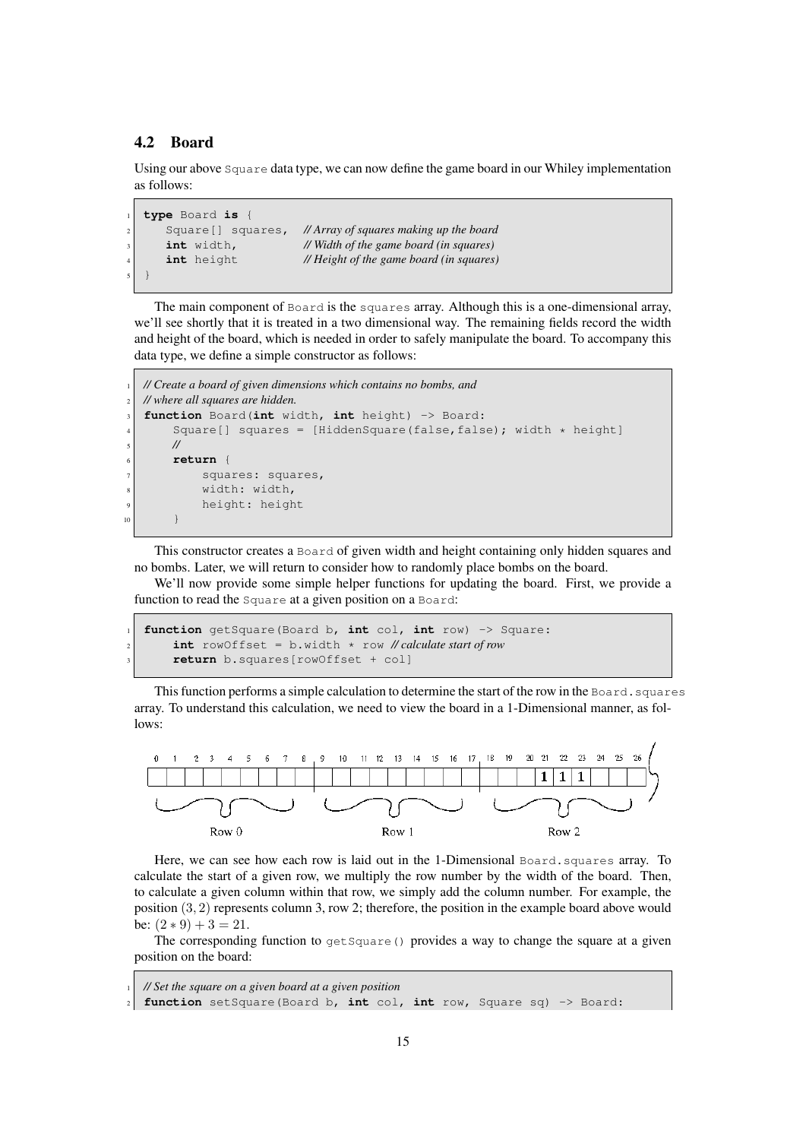#### <span id="page-14-0"></span>4.2 Board

Using our above Square data type, we can now define the game board in our Whiley implementation as follows:

```
1 type Board is {
      2 Square[] squares, // Array of squares making up the board
      3 int width, // Width of the game board (in squares)
      4 int height // Height of the game board (in squares)
5 \mid \}
```
The main component of Board is the squares array. Although this is a one-dimensional array, we'll see shortly that it is treated in a two dimensional way. The remaining fields record the width and height of the board, which is needed in order to safely manipulate the board. To accompany this data type, we define a simple constructor as follows:

```
1 // Create a board of given dimensions which contains no bombs, and
  2 // where all squares are hidden.
  3 function Board(int width, int height) -> Board:
       Square[] squares = [HiddenSquare(false,false); width \star height]
       5 //
       6 return {
            squares: squares,
            width: width,
            height: height
10 }
```
This constructor creates a Board of given width and height containing only hidden squares and no bombs. Later, we will return to consider how to randomly place bombs on the board.

We'll now provide some simple helper functions for updating the board. First, we provide a function to read the Square at a given position on a Board:

```
1 function getSquare(Board b, int col, int row) -> Square:
    2 int rowOffset = b.width * row // calculate start of row
    3 return b.squares[rowOffset + col]
```
This function performs a simple calculation to determine the start of the row in the Board. squares array. To understand this calculation, we need to view the board in a 1-Dimensional manner, as follows:



Here, we can see how each row is laid out in the 1-Dimensional Board.squares array. To calculate the start of a given row, we multiply the row number by the width of the board. Then, to calculate a given column within that row, we simply add the column number. For example, the position (3, 2) represents column 3, row 2; therefore, the position in the example board above would be:  $(2 * 9) + 3 = 21$ .

The corresponding function to  $q \notin \text{Square}(x)$  provides a way to change the square at a given position on the board:

```
1 // Set the square on a given board at a given position
2 function setSquare(Board b, int col, int row, Square sq) -> Board:
```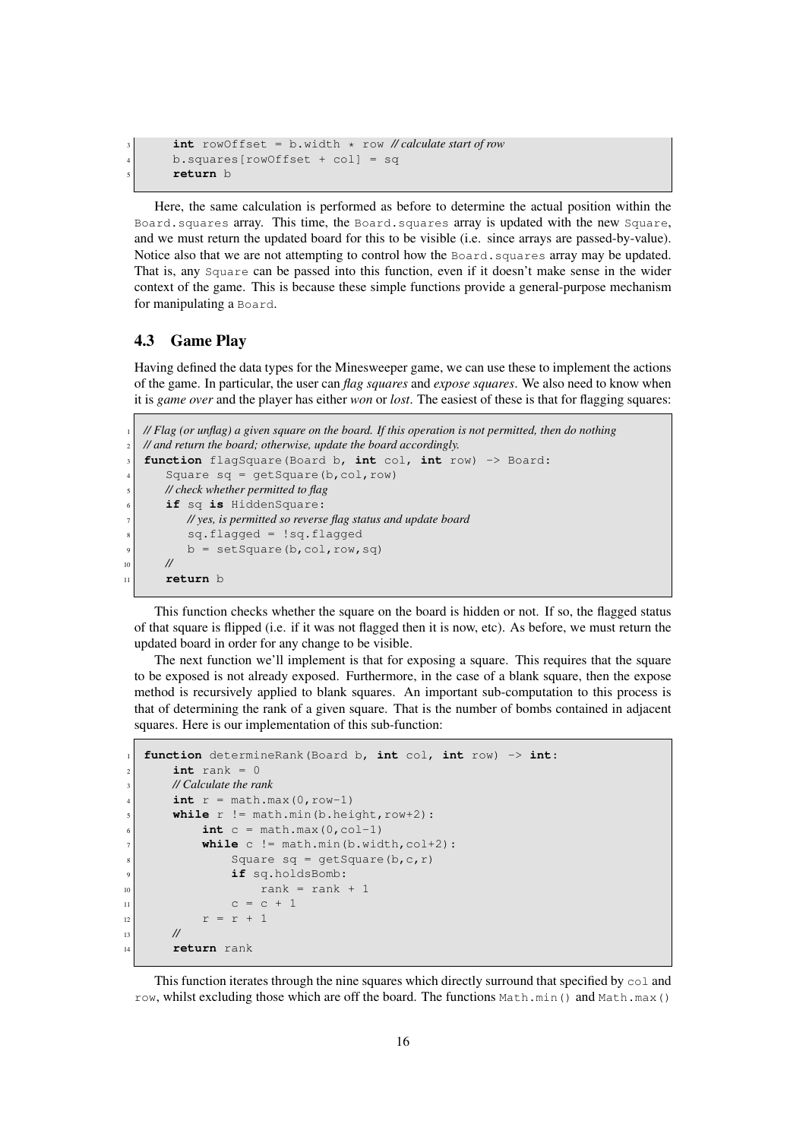```
3 int rowOffset = b.width * row // calculate start of row
4 b.squares[rowOffset + col] = sq
5 return b
```
Here, the same calculation is performed as before to determine the actual position within the Board.squares array. This time, the Board.squares array is updated with the new Square, and we must return the updated board for this to be visible (i.e. since arrays are passed-by-value). Notice also that we are not attempting to control how the Board. squares array may be updated. That is, any Square can be passed into this function, even if it doesn't make sense in the wider context of the game. This is because these simple functions provide a general-purpose mechanism for manipulating a Board.

#### <span id="page-15-0"></span>4.3 Game Play

Having defined the data types for the Minesweeper game, we can use these to implement the actions of the game. In particular, the user can *flag squares* and *expose squares*. We also need to know when it is *game over* and the player has either *won* or *lost*. The easiest of these is that for flagging squares:

```
1 // Flag (or unflag) a given square on the board. If this operation is not permitted, then do nothing
   2 // and return the board; otherwise, update the board accordingly.
   3 function flagSquare(Board b, int col, int row) -> Board:
       Square sq = getSquare(b, col, row)5 // check whether permitted to flag
       if sq is HiddenSquare:
          7 // yes, is permitted so reverse flag status and update board
           8 sq.flagged = !sq.flagged
           b = setSquare(b, col, row, sq)10 //
11 return b
```
This function checks whether the square on the board is hidden or not. If so, the flagged status of that square is flipped (i.e. if it was not flagged then it is now, etc). As before, we must return the updated board in order for any change to be visible.

The next function we'll implement is that for exposing a square. This requires that the square to be exposed is not already exposed. Furthermore, in the case of a blank square, then the expose method is recursively applied to blank squares. An important sub-computation to this process is that of determining the rank of a given square. That is the number of bombs contained in adjacent squares. Here is our implementation of this sub-function:

```
1 function determineRank(Board b, int col, int row) -> int:
       int rank = 03 // Calculate the rank
       int r = math.max(0, row-1)while r != math.min(b.height, row+2):
            \text{int } c = \text{math.max}(0, \text{col-1})while c != math.min(b<u>.wikipedia.com+2):</u>
                Square sq = qetSquare(b,c,r)
                if sq.holdsBomb:
\begin{array}{rcl} \text{10} \end{array} rank = rank + 1
11 c = c + 1
r = r + 1\frac{13}{} //
14 return rank
```
This function iterates through the nine squares which directly surround that specified by  $\infty 1$  and row, whilst excluding those which are off the board. The functions  $Math.min()$  and  $Math.max()$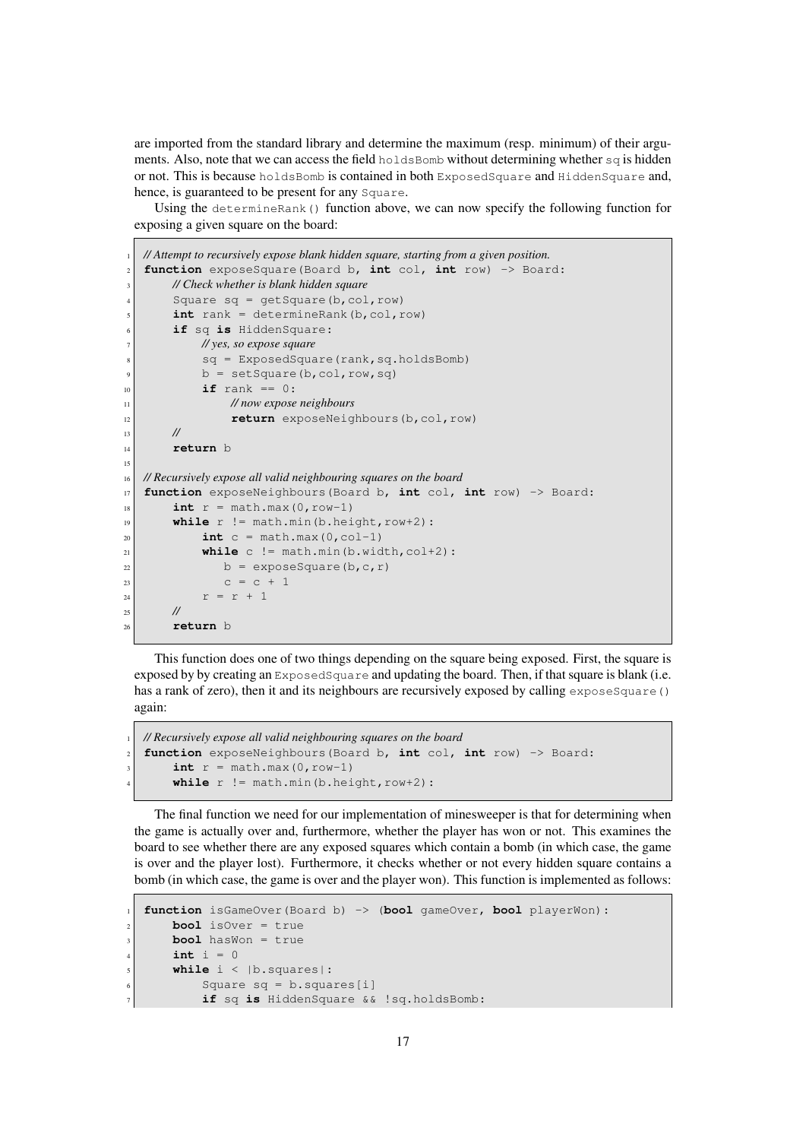are imported from the standard library and determine the maximum (resp. minimum) of their arguments. Also, note that we can access the field holdsBomb without determining whether  $sq$  is hidden or not. This is because holdsBomb is contained in both ExposedSquare and HiddenSquare and, hence, is guaranteed to be present for any Square.

Using the determineRank() function above, we can now specify the following function for exposing a given square on the board:

```
1 // Attempt to recursively expose blank hidden square, starting from a given position.
   2 function exposeSquare(Board b, int col, int row) -> Board:
       3 // Check whether is blank hidden square
       Square sq = getSquare(b, col, row)int rank = determineRank(b,col,row)
       if sq is HiddenSquare:
           7 // yes, so expose square
           8 sq = ExposedSquare(rank,sq.holdsBomb)
           b = setSquare(b, col, row, sq)10 if rank == 0:
11 // now expose neighbours
12 return exposeNeighbours(b,col,row)
\frac{13}{} //
14 return b
15
16 // Recursively expose all valid neighbouring squares on the board
17 function exposeNeighbours(Board b, int col, int row) -> Board:
\int int r = \text{math}.max(0, row-1)
\text{while } r := \text{math.min(b.height, row+2)}:
20 int c = \text{math.max}(0, \text{col-1})_{21} while c != math.min(b.width,col+2):
22 b = exposeSquare(b, c, r)
c = c + 1r = r + 1\frac{25}{7} //
26 return b
```
This function does one of two things depending on the square being exposed. First, the square is exposed by by creating an  $ExposedSquare$  and updating the board. Then, if that square is blank (i.e. has a rank of zero), then it and its neighbours are recursively exposed by calling exposeSquare() again:

```
1 // Recursively expose all valid neighbouring squares on the board
2 function exposeNeighbours(Board b, int col, int row) -> Board:
    int r = math.max(0, row-1)while r != math.min(b.height, row+2):
```
The final function we need for our implementation of minesweeper is that for determining when the game is actually over and, furthermore, whether the player has won or not. This examines the board to see whether there are any exposed squares which contain a bomb (in which case, the game is over and the player lost). Furthermore, it checks whether or not every hidden square contains a bomb (in which case, the game is over and the player won). This function is implemented as follows:

```
1 function isGameOver(Board b) -> (bool gameOver, bool playerWon):
    bool isOver = true
    bool hasWon = true
    int i = 0while i < |b.squares|:
        Square sq = b.squares[i]
        7 if sq is HiddenSquare && !sq.holdsBomb:
```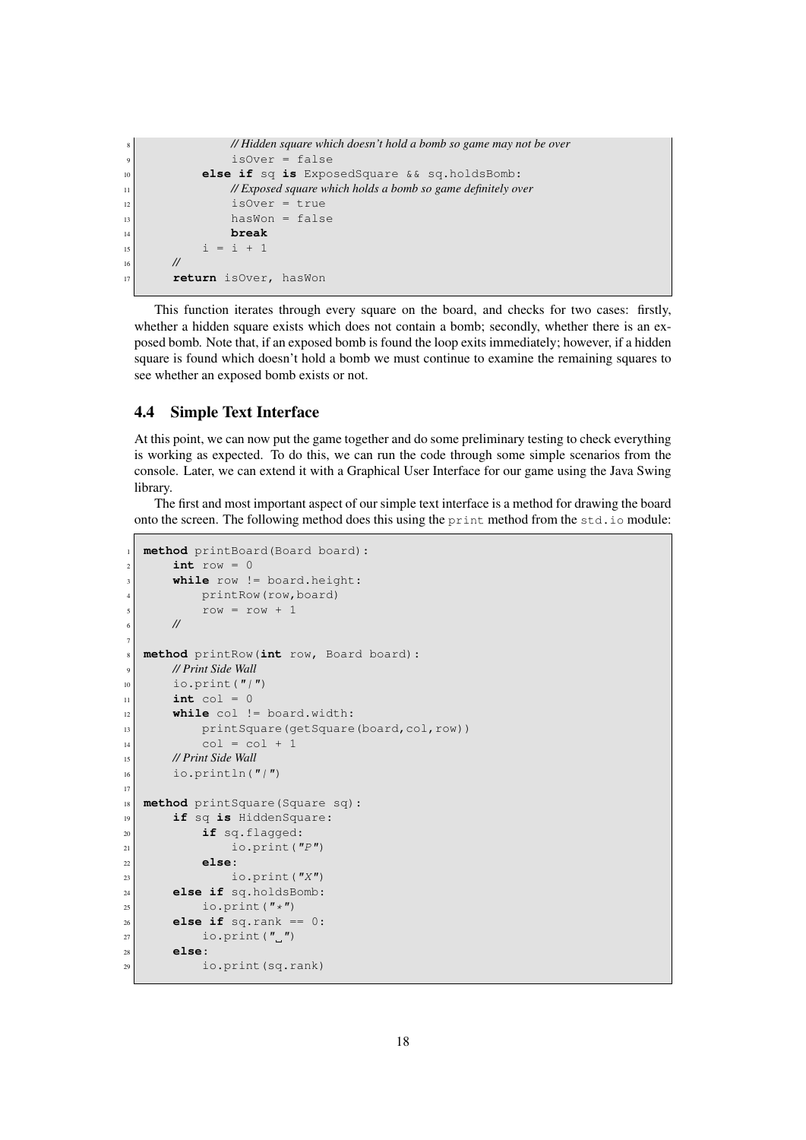```
8 // Hidden square which doesn't hold a bomb so game may not be over
9 isOver = false
10 else if sq is ExposedSquare && sq.holdsBomb:
11 // Exposed square which holds a bomb so game definitely over
12 is Over = true
13 hasWon = false
14 break
15 i = i + 1
16 //
17 return isOver, hasWon
```
This function iterates through every square on the board, and checks for two cases: firstly, whether a hidden square exists which does not contain a bomb; secondly, whether there is an exposed bomb. Note that, if an exposed bomb is found the loop exits immediately; however, if a hidden square is found which doesn't hold a bomb we must continue to examine the remaining squares to see whether an exposed bomb exists or not.

#### <span id="page-17-0"></span>4.4 Simple Text Interface

At this point, we can now put the game together and do some preliminary testing to check everything is working as expected. To do this, we can run the code through some simple scenarios from the console. Later, we can extend it with a Graphical User Interface for our game using the Java Swing library.

The first and most important aspect of our simple text interface is a method for drawing the board onto the screen. The following method does this using the print method from the std.io module:

```
method printBoard(Board board):
       int row = 0while row != board.height:
           printRow(row, board)
           row = row + 16 //
7
8 method printRow(int row, Board board):
9 // Print Side Wall
_{10} io.print("/")
\text{int} \text{col} = 012 while col != board.width:
13 printSquare(getSquare(board,col,row))
\begin{array}{ccc} \text{14} & \text{col} = \text{col} + 1 \end{array}15 // Print Side Wall
_{16} io.println("/")
17
18 method printSquare(Square sq):
19 if sq is HiddenSquare:
20 if sq.flagged:
_{21} io.print("P")
22 else:
\log io.print(''X")
24 else if sq.holdsBomb:
_{25} io.print("\star")
26 else if sq.rank == 0:
\begin{array}{c} 27 \\ 27 \end{array} io.print (\begin{array}{c} n \end{array}")
28 else:
29 io.print(sq.rank)
```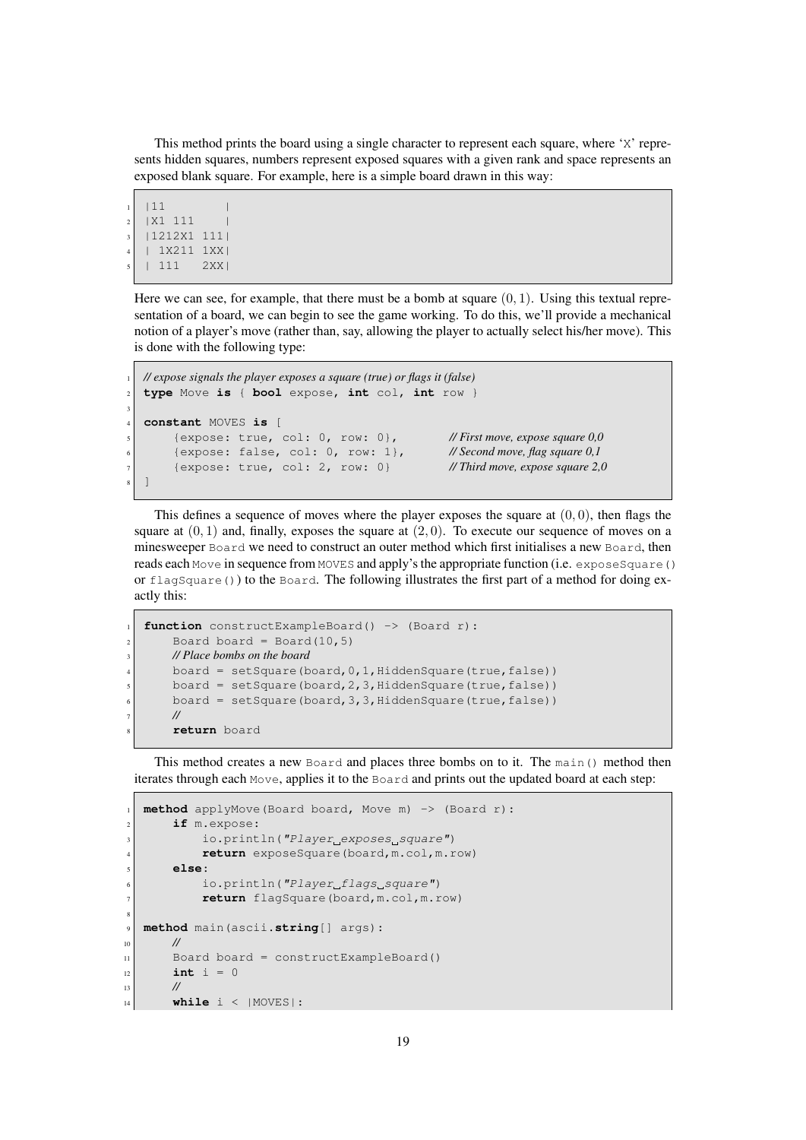This method prints the board using a single character to represent each square, where 'X' represents hidden squares, numbers represent exposed squares with a given rank and space represents an exposed blank square. For example, here is a simple board drawn in this way:

```
1112 | X1 111
  3 |1212X1 111|
  4 | 1X211 1XX|
  5 | 111 2XX|
```
3

Here we can see, for example, that there must be a bomb at square  $(0, 1)$ . Using this textual representation of a board, we can begin to see the game working. To do this, we'll provide a mechanical notion of a player's move (rather than, say, allowing the player to actually select his/her move). This is done with the following type:

```
1 // expose signals the player exposes a square (true) or flags it (false)
2 type Move is { bool expose, int col, int row }
4 constant MOVES is [
     5 {expose: true, col: 0, row: 0}, // First move, expose square 0,0
     6 {expose: false, col: 0, row: 1}, // Second move, flag square 0,1
     7 {expose: true, col: 2, row: 0} // Third move, expose square 2,0
\overline{\phantom{a}}
```
This defines a sequence of moves where the player exposes the square at  $(0, 0)$ , then flags the square at  $(0, 1)$  and, finally, exposes the square at  $(2, 0)$ . To execute our sequence of moves on a minesweeper Board we need to construct an outer method which first initialises a new Board, then reads each Move in sequence from MOVES and apply's the appropriate function (i.e. exposeSquare() or  $flagSquare()$  to the Board. The following illustrates the first part of a method for doing exactly this:

```
function constructExampleBoard() -> (Board r):
    Board board = Board(10, 5)3 // Place bombs on the board
    board = setSquare(board, 0, 1, HiddenSquare(true, false))
    board = setSquare(board, 2, 3, HiddenSquare(true, false))
    board = setSquare(board, 3, 3, HiddenSquare(true, false))
    7 //
    8 return board
```
This method creates a new Board and places three bombs on to it. The main() method then iterates through each Move, applies it to the Board and prints out the updated board at each step:

```
method applyMove(Board board, Move m) -> (Board r):
      if m.expose:
          io.println("Player exposes square")
          return exposeSquare(board,m.col,m.row)
      5 else:
          io.println("Player_flags_square")
          7 return flagSquare(board,m.col,m.row)
8
9 method main(ascii.string[] args):
10 //
|11| Board board = constructExampleBoard()
|12| int i = 013 //
14 while i < | MOVES | :
```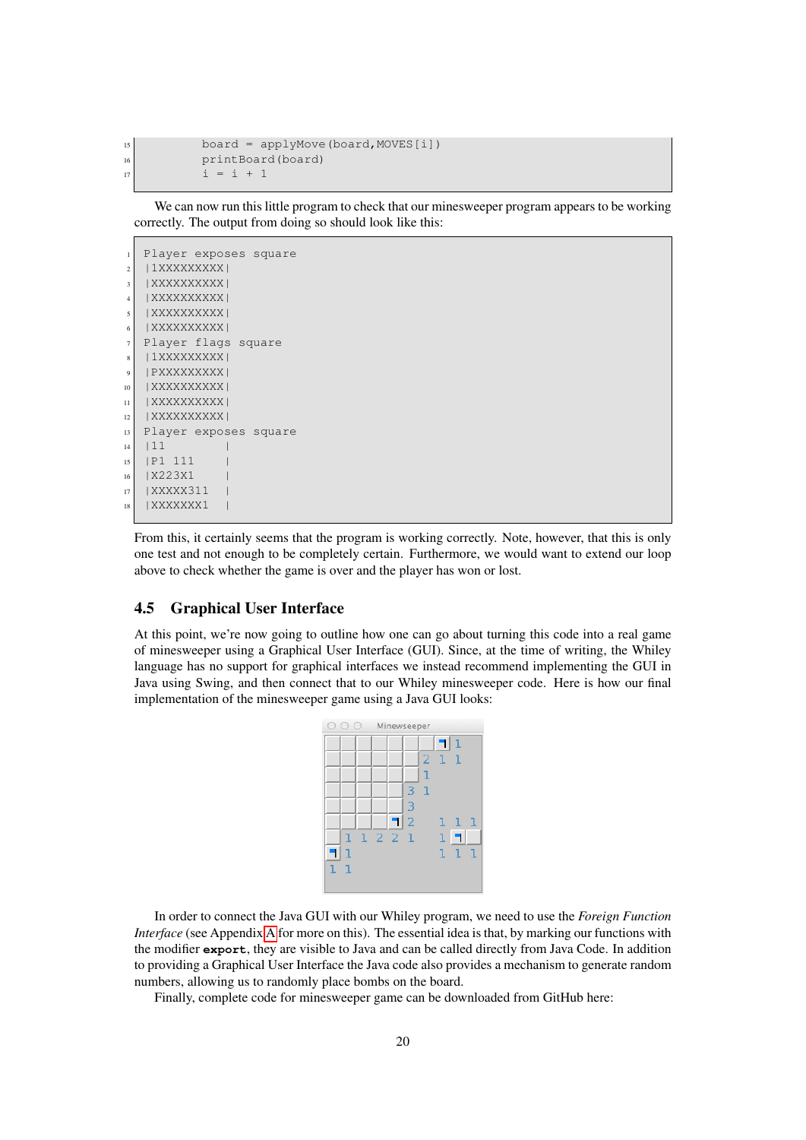$_{15}$  board = applyMove(board, MOVES[i]) 16 **printBoard**(board)  $17$  i = i + 1

We can now run this little program to check that our minesweeper program appears to be working correctly. The output from doing so should look like this:

```
Player exposes square
2 | 1XXXXXXXXX
3 | XXXXXXXXXXI
   4 |XXXXXXXXXX|
   5 |XXXXXXXXXX|
6 |XXXXXXXXXX|
7 Player flags square
|11XXXXXXXXXXX
9 | PXXXXXXXXXI
10 | XXXXXXXXXX |
11 | XXXXXXXXXX |
|12| | XXXXXXXXXX |
13 Player exposes square
14 | 11
15 |P1 111 |
16 | X223X1
17 | XXXXX311
18 | XXXXXXX1 |
```
From this, it certainly seems that the program is working correctly. Note, however, that this is only one test and not enough to be completely certain. Furthermore, we would want to extend our loop above to check whether the game is over and the player has won or lost.

#### <span id="page-19-0"></span>4.5 Graphical User Interface

At this point, we're now going to outline how one can go about turning this code into a real game of minesweeper using a Graphical User Interface (GUI). Since, at the time of writing, the Whiley language has no support for graphical interfaces we instead recommend implementing the GUI in Java using Swing, and then connect that to our Whiley minesweeper code. Here is how our final implementation of the minesweeper game using a Java GUI looks:

| 00     | Minewseeper    |                          |
|--------|----------------|--------------------------|
|        |                | 1                        |
|        |                | -1<br>-1<br>$\mathbf{Z}$ |
|        |                | ı                        |
|        | 3              | 1                        |
|        | 3              |                          |
|        | $\overline{2}$ | ı<br>ı<br>ı              |
| ı.     | 1221           | 1                        |
| ı      |                | ı<br>ı<br>٦              |
| ι<br>ι |                |                          |
|        |                |                          |

In order to connect the Java GUI with our Whiley program, we need to use the *Foreign Function Interface* (see Appendix [A](#page-31-0) for more on this). The essential idea is that, by marking our functions with the modifier **export**, they are visible to Java and can be called directly from Java Code. In addition to providing a Graphical User Interface the Java code also provides a mechanism to generate random numbers, allowing us to randomly place bombs on the board.

Finally, complete code for minesweeper game can be downloaded from GitHub here: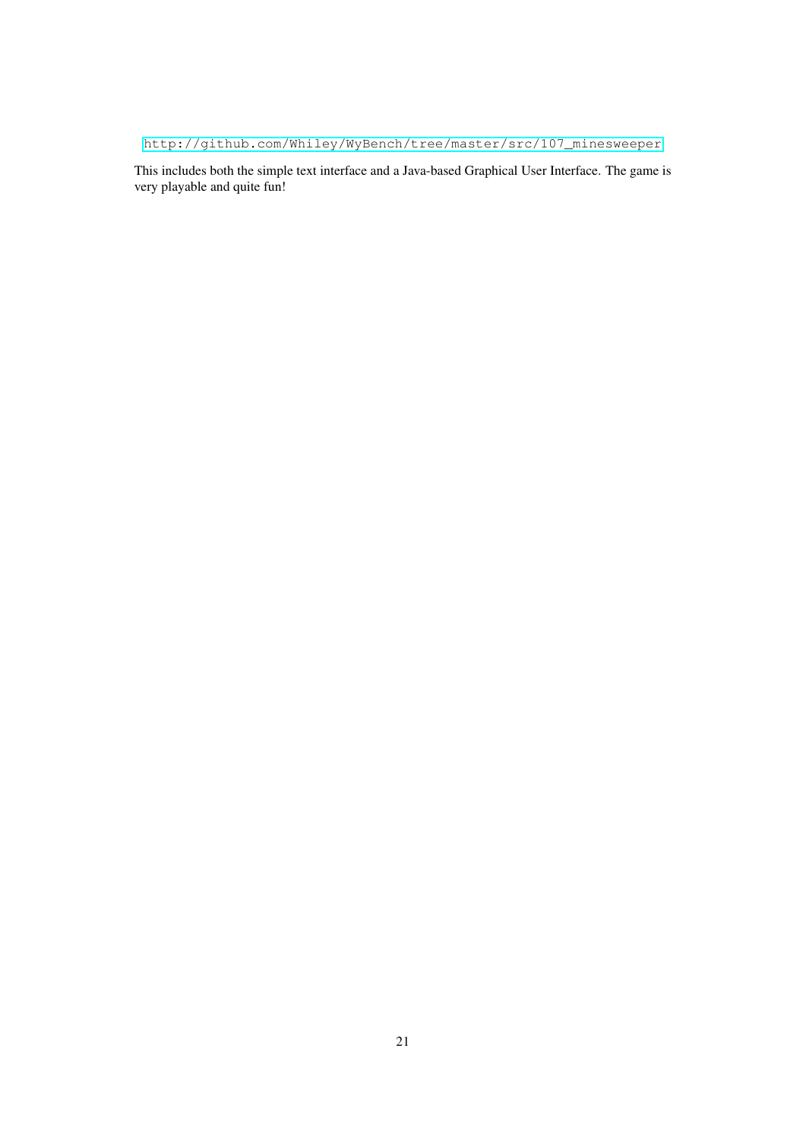[http://github.com/Whiley/WyBench/tree/master/src/107\\_minesweeper](http://github.com/Whiley/WyBench/tree/master/src/107_minesweeper)

This includes both the simple text interface and a Java-based Graphical User Interface. The game is very playable and quite fun!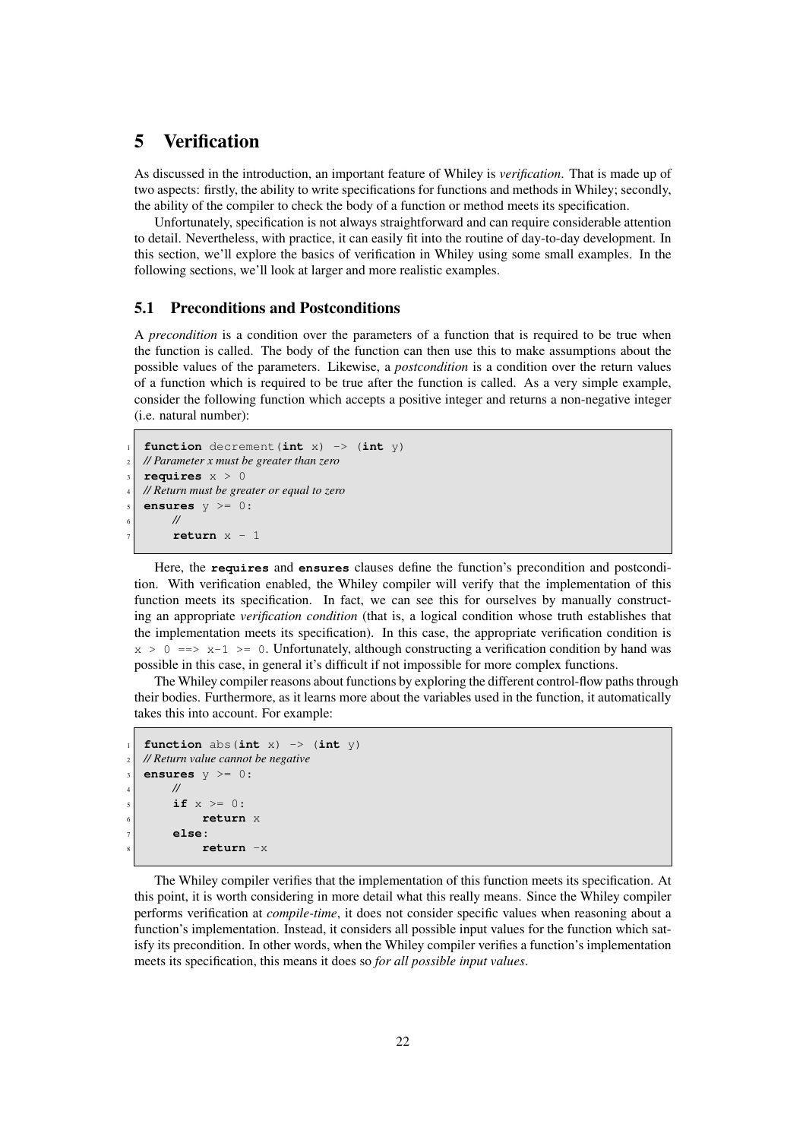# <span id="page-21-0"></span>5 Verification

As discussed in the introduction, an important feature of Whiley is *verification*. That is made up of two aspects: firstly, the ability to write specifications for functions and methods in Whiley; secondly, the ability of the compiler to check the body of a function or method meets its specification.

Unfortunately, specification is not always straightforward and can require considerable attention to detail. Nevertheless, with practice, it can easily fit into the routine of day-to-day development. In this section, we'll explore the basics of verification in Whiley using some small examples. In the following sections, we'll look at larger and more realistic examples.

#### <span id="page-21-1"></span>5.1 Preconditions and Postconditions

A *precondition* is a condition over the parameters of a function that is required to be true when the function is called. The body of the function can then use this to make assumptions about the possible values of the parameters. Likewise, a *postcondition* is a condition over the return values of a function which is required to be true after the function is called. As a very simple example, consider the following function which accepts a positive integer and returns a non-negative integer (i.e. natural number):

```
function decrement (int x) \rightarrow (int y)
2 // Parameter x must be greater than zero
reduires <math>x > 0</math>4 // Return must be greater or equal to zero
5 ensures y >= 0:
      6 //
      return x - 1
```
Here, the **requires** and **ensures** clauses define the function's precondition and postcondition. With verification enabled, the Whiley compiler will verify that the implementation of this function meets its specification. In fact, we can see this for ourselves by manually constructing an appropriate *verification condition* (that is, a logical condition whose truth establishes that the implementation meets its specification). In this case, the appropriate verification condition is  $x > 0 \implies x-1 > = 0$ . Unfortunately, although constructing a verification condition by hand was possible in this case, in general it's difficult if not impossible for more complex functions.

The Whiley compiler reasons about functions by exploring the different control-flow paths through their bodies. Furthermore, as it learns more about the variables used in the function, it automatically takes this into account. For example:

```
function abs(int x) \rightarrow (int y)
2 // Return value cannot be negative
3 ensures y >= 0:
     4 //
     if x \ge 0:
           6 return x
     7 else:
           8 return -x
```
The Whiley compiler verifies that the implementation of this function meets its specification. At this point, it is worth considering in more detail what this really means. Since the Whiley compiler performs verification at *compile-time*, it does not consider specific values when reasoning about a function's implementation. Instead, it considers all possible input values for the function which satisfy its precondition. In other words, when the Whiley compiler verifies a function's implementation meets its specification, this means it does so *for all possible input values*.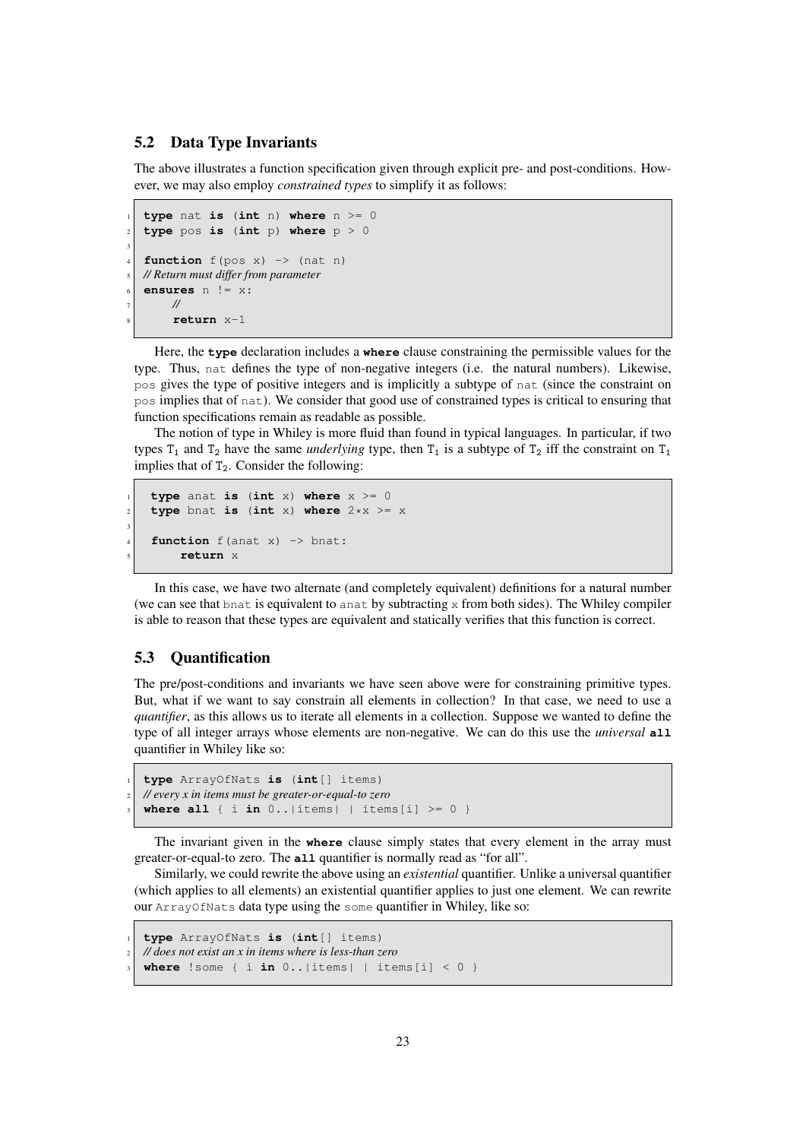#### <span id="page-22-0"></span>5.2 Data Type Invariants

The above illustrates a function specification given through explicit pre- and post-conditions. However, we may also employ *constrained types* to simplify it as follows:

```
1 type nat is (int n) where n >= 0
  type pos is (int p) where p > 03
  function f(pos x) \rightarrow (nat n)5 // Return must differ from parameter
  6 ensures n != x:
       7 //
       8 return x-1
```
Here, the **type** declaration includes a **where** clause constraining the permissible values for the type. Thus, nat defines the type of non-negative integers (i.e. the natural numbers). Likewise, pos gives the type of positive integers and is implicitly a subtype of nat (since the constraint on pos implies that of nat). We consider that good use of constrained types is critical to ensuring that function specifications remain as readable as possible.

The notion of type in Whiley is more fluid than found in typical languages. In particular, if two types  $T_1$  and  $T_2$  have the same *underlying* type, then  $T_1$  is a subtype of  $T_2$  iff the constraint on  $T_1$ implies that of  $T_2$ . Consider the following:

```
type anat is (int x) where x \ge 0\mathbf{1} type bnat is (int x) where 2 \times x \geq x3
    function f(anat x) -> bnat:
        5 return x
```
In this case, we have two alternate (and completely equivalent) definitions for a natural number (we can see that bnat is equivalent to anat by subtracting x from both sides). The Whiley compiler is able to reason that these types are equivalent and statically verifies that this function is correct.

#### <span id="page-22-1"></span>5.3 Quantification

The pre/post-conditions and invariants we have seen above were for constraining primitive types. But, what if we want to say constrain all elements in collection? In that case, we need to use a *quantifier*, as this allows us to iterate all elements in a collection. Suppose we wanted to define the type of all integer arrays whose elements are non-negative. We can do this use the *universal* **all** quantifier in Whiley like so:

```
1 type ArrayOfNats is (int[] items)
2 // every x in items must be greater-or-equal-to zero
where all \{ i \text{ in } 0..|items | items[i] \ge 0 }
```
The invariant given in the **where** clause simply states that every element in the array must greater-or-equal-to zero. The **all** quantifier is normally read as "for all".

Similarly, we could rewrite the above using an *existential* quantifier. Unlike a universal quantifier (which applies to all elements) an existential quantifier applies to just one element. We can rewrite our ArrayOfNats data type using the some quantifier in Whiley, like so:

```
1 type ArrayOfNats is (int[] items)
2 // does not exist an x in items where is less-than zero
  where !some { i in 0..|items| | items[i] < 0 }
```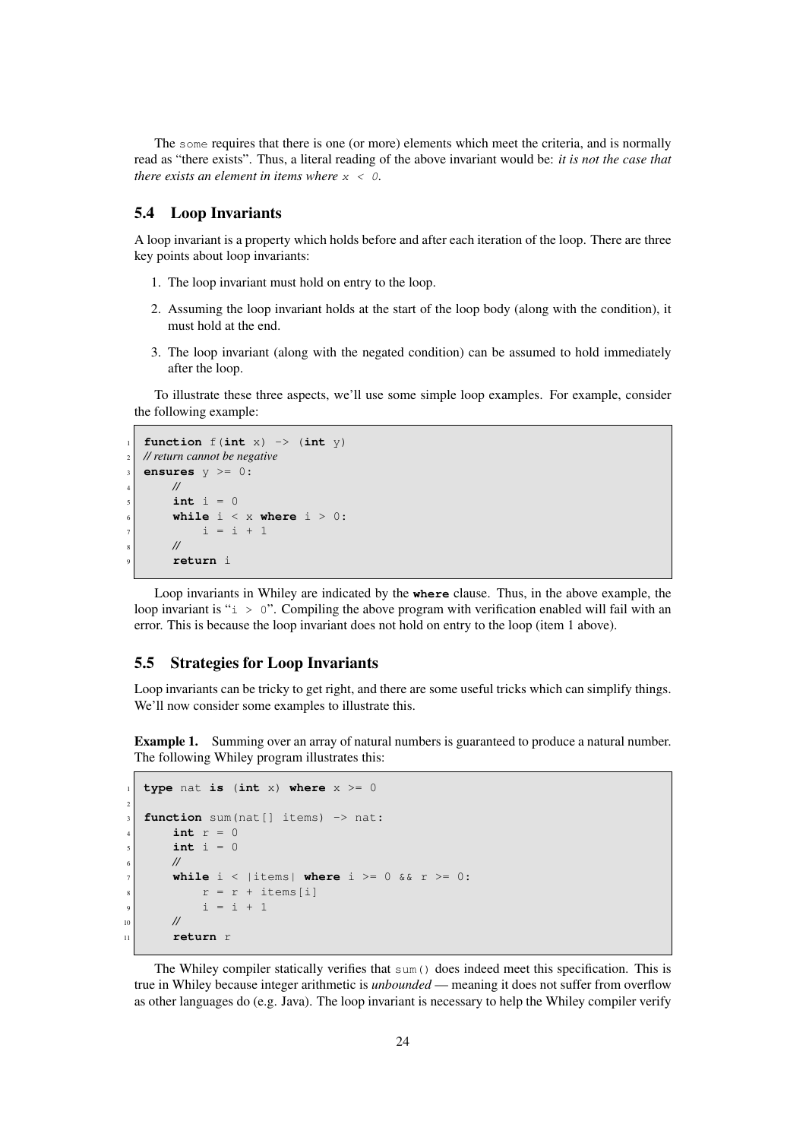The some requires that there is one (or more) elements which meet the criteria, and is normally read as "there exists". Thus, a literal reading of the above invariant would be: *it is not the case that there exists an element in items where* x < 0.

#### <span id="page-23-0"></span>5.4 Loop Invariants

A loop invariant is a property which holds before and after each iteration of the loop. There are three key points about loop invariants:

- 1. The loop invariant must hold on entry to the loop.
- 2. Assuming the loop invariant holds at the start of the loop body (along with the condition), it must hold at the end.
- 3. The loop invariant (along with the negated condition) can be assumed to hold immediately after the loop.

To illustrate these three aspects, we'll use some simple loop examples. For example, consider the following example:

```
function f(int x) \rightarrow (int y)2 // return cannot be negative
ensures y \ge 0:
     4 //
     int i = 06 while i < x where i > 0:
          i = i + 18 //
     9 return i
```
Loop invariants in Whiley are indicated by the **where** clause. Thus, in the above example, the loop invariant is " $i > 0$ ". Compiling the above program with verification enabled will fail with an error. This is because the loop invariant does not hold on entry to the loop (item 1 above).

#### <span id="page-23-1"></span>5.5 Strategies for Loop Invariants

Loop invariants can be tricky to get right, and there are some useful tricks which can simplify things. We'll now consider some examples to illustrate this.

Example 1. Summing over an array of natural numbers is guaranteed to produce a natural number. The following Whiley program illustrates this:

```
type nat is (int x) where x \ge 02
  function sum(nat[] items) -> nat:
      int r = 0int i = 06 //
      while i < | items | where i > = 0 && r > = 0:
           r = r + \text{items}[i]i = i + 110 //
11 return r
```
The Whiley compiler statically verifies that sum() does indeed meet this specification. This is true in Whiley because integer arithmetic is *unbounded* — meaning it does not suffer from overflow as other languages do (e.g. Java). The loop invariant is necessary to help the Whiley compiler verify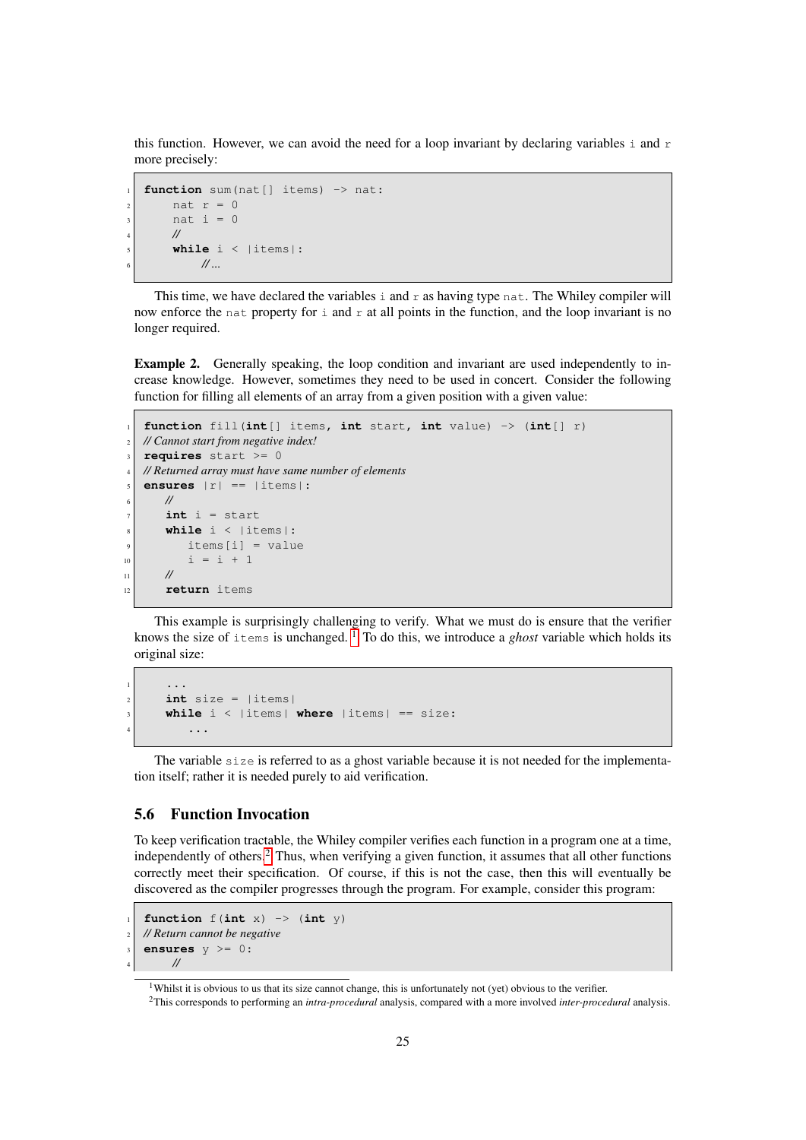this function. However, we can avoid the need for a loop invariant by declaring variables  $\pm$  and  $\pm$ more precisely:

```
function sum(nat[] items) -> nat:
    nat r = 0nat i = 04 //
    while i < |items|:
        6 // ...
```
This time, we have declared the variables  $\pm$  and  $\pm$  as having type nat. The Whiley compiler will now enforce the nat property for  $\pm$  and  $\pm$  at all points in the function, and the loop invariant is no longer required.

Example 2. Generally speaking, the loop condition and invariant are used independently to increase knowledge. However, sometimes they need to be used in concert. Consider the following function for filling all elements of an array from a given position with a given value:

```
1 function fill(int[] items, int start, int value) -> (int[] r)
  2 // Cannot start from negative index!
  requires start >= 0
  4 // Returned array must have same number of elements
  ensures |r| == |items|:
6 //
      int i = startwhile i < |items|:
         items[i] = value10 | i = i + 1
||1|| //
12 return items
```
This example is surprisingly challenging to verify. What we must do is ensure that the verifier knows the size of  $\pm \text{tems}$  is unchanged.  $\frac{1}{100}$  $\frac{1}{100}$  $\frac{1}{100}$  To do this, we introduce a *ghost* variable which holds its original size:

```
\mathbf{1} ...
      int size = |items|3 while i < |items| where |items| == size:
\overline{4} ...
```
The variable size is referred to as a ghost variable because it is not needed for the implementation itself; rather it is needed purely to aid verification.

#### <span id="page-24-0"></span>5.6 Function Invocation

To keep verification tractable, the Whiley compiler verifies each function in a program one at a time, independently of others.<sup>[2](#page-24-2)</sup> Thus, when verifying a given function, it assumes that all other functions correctly meet their specification. Of course, if this is not the case, then this will eventually be discovered as the compiler progresses through the program. For example, consider this program:

```
function f(int x) \rightarrow (int y)2 // Return cannot be negative
ensures y \ge 0:
     4 //
```
<span id="page-24-1"></span><sup>&</sup>lt;sup>1</sup>Whilst it is obvious to us that its size cannot change, this is unfortunately not (yet) obvious to the verifier.

<span id="page-24-2"></span><sup>2</sup>This corresponds to performing an *intra-procedural* analysis, compared with a more involved *inter-procedural* analysis.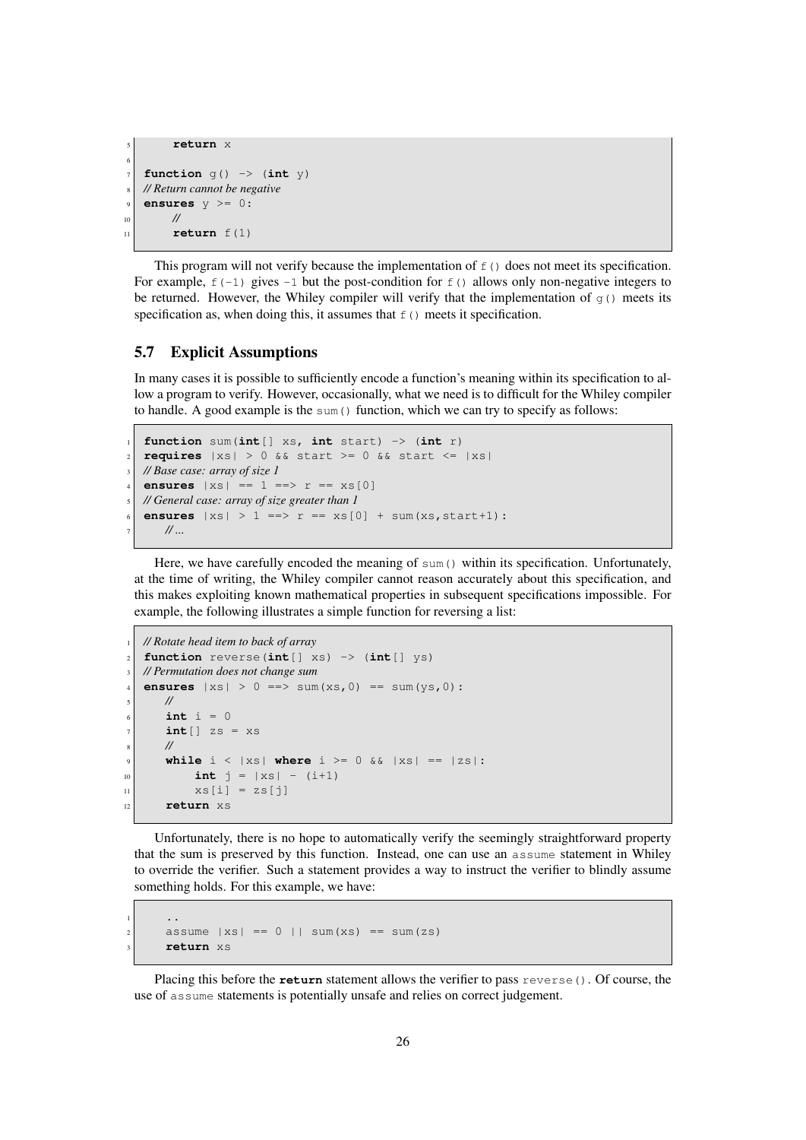```
5 return x
6
   function q() \rightarrow (int y)8 // Return cannot be negative
   9 ensures y >= 0:
10 //
\ln return f(1)
```
This program will not verify because the implementation of  $f(t)$  does not meet its specification. For example,  $f(-1)$  gives  $-1$  but the post-condition for  $f($ ) allows only non-negative integers to be returned. However, the Whiley compiler will verify that the implementation of  $g(t)$  meets its specification as, when doing this, it assumes that  $f(t)$  meets it specification.

#### <span id="page-25-0"></span>5.7 Explicit Assumptions

In many cases it is possible to sufficiently encode a function's meaning within its specification to allow a program to verify. However, occasionally, what we need is to difficult for the Whiley compiler to handle. A good example is the sum () function, which we can try to specify as follows:

```
function sum(int[] xs, int start) \rightarrow (int r)
\vert x \vert requires \vert xs \vert > 0 && start >= 0 && start <= \vert xs \vert3 // Base case: array of size 1
   ensures |xs| == 1 == > r == xs[0]5 // General case: array of size greater than 1
   ensures |xs| > 1 \implies r == xs[0] + sum(xs, start+1):
       7 // ...
```
Here, we have carefully encoded the meaning of sum () within its specification. Unfortunately, at the time of writing, the Whiley compiler cannot reason accurately about this specification, and this makes exploiting known mathematical properties in subsequent specifications impossible. For example, the following illustrates a simple function for reversing a list:

```
1 // Rotate head item to back of array
   2 function reverse(int[] xs) -> (int[] ys)
   3 // Permutation does not change sum
   ensures |xs| > 0 \implies sum(xs, 0) == sum(ys, 0):
       5 //
       int i = 0int[j] zs = xs8 //
       while i < |xs| where i > = 0 && |xs| == |zs|:
10 int j = |xs| - (i+1)\begin{bmatrix} 11 \end{bmatrix} \begin{bmatrix} xS[i] = zS[j] \end{bmatrix}12 return xs
```
Unfortunately, there is no hope to automatically verify the seemingly straightforward property that the sum is preserved by this function. Instead, one can use an assume statement in Whiley to override the verifier. Such a statement provides a way to instruct the verifier to blindly assume something holds. For this example, we have:

```
1 ..
     assume |xs| == 0 | | sum(xs) == sum(zs)3 return xs
```
Placing this before the **return** statement allows the verifier to pass reverse(). Of course, the use of assume statements is potentially unsafe and relies on correct judgement.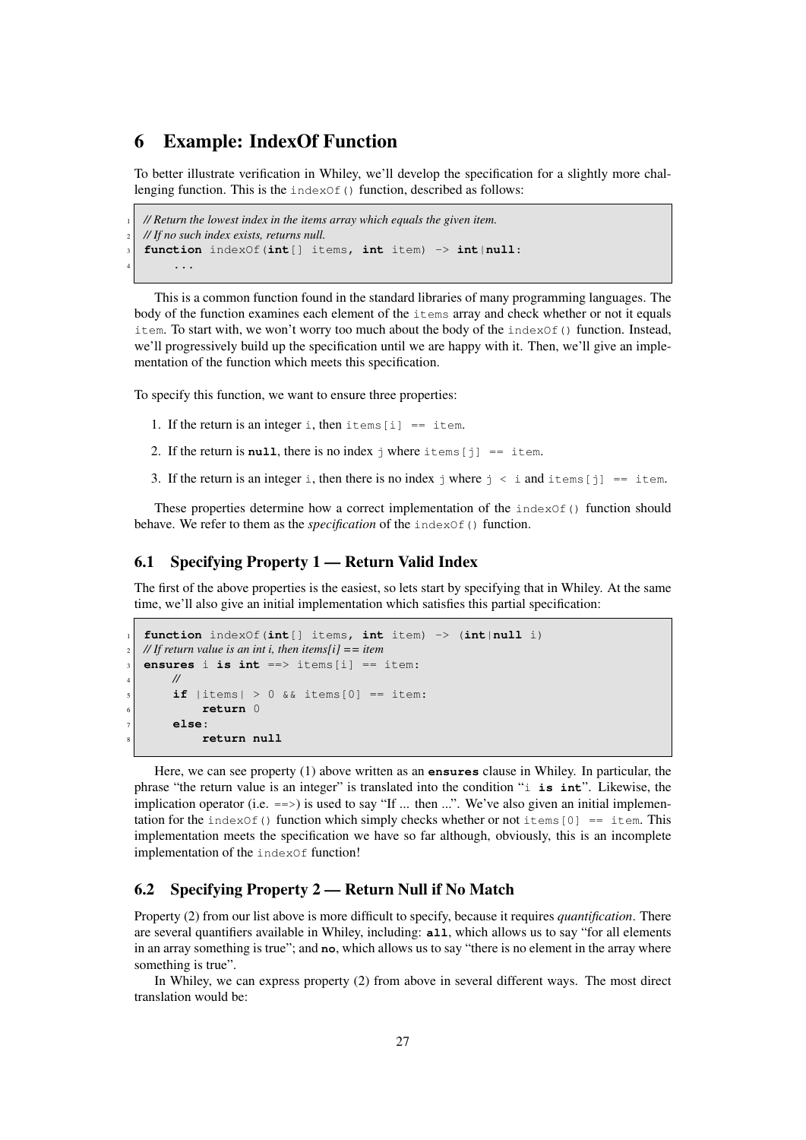# <span id="page-26-0"></span>6 Example: IndexOf Function

To better illustrate verification in Whiley, we'll develop the specification for a slightly more challenging function. This is the  $indexOf()$  function, described as follows:

```
1 // Return the lowest index in the items array which equals the given item.
2 // If no such index exists, returns null.
3 function indexOf(int[] items, int item) -> int|null:
      4 ...
```
This is a common function found in the standard libraries of many programming languages. The body of the function examines each element of the items array and check whether or not it equals item. To start with, we won't worry too much about the body of the index  $Of()$  function. Instead, we'll progressively build up the specification until we are happy with it. Then, we'll give an implementation of the function which meets this specification.

To specify this function, we want to ensure three properties:

- 1. If the return is an integer i, then items  $[i] ==$  item.
- 2. If the return is **null**, there is no index  $\frac{1}{7}$  where items  $\begin{bmatrix} 1 \end{bmatrix}$  == item.
- 3. If the return is an integer i, then there is no index j where  $j \lt i$  and items [j] == item.

These properties determine how a correct implementation of the  $indexOf()$  function should behave. We refer to them as the *specification* of the indexOf() function.

#### <span id="page-26-1"></span>6.1 Specifying Property 1 — Return Valid Index

The first of the above properties is the easiest, so lets start by specifying that in Whiley. At the same time, we'll also give an initial implementation which satisfies this partial specification:

```
1 function indexOf(int[] items, int item) -> (int|null i)
2 // If return value is an int i, then items[i] == item
3 ensures i is int ==> items[i] == item:
     4 //
     if |items| > 0 && items[0] == item:
         6 return 0
     7 else:
         8 return null
```
Here, we can see property (1) above written as an **ensures** clause in Whiley. In particular, the phrase "the return value is an integer" is translated into the condition "i **is int**". Likewise, the implication operator (i.e.  $\equiv$  >) is used to say "If ... then ...". We've also given an initial implementation for the indexOf() function which simply checks whether or not items  $[0] ==$  item. This implementation meets the specification we have so far although, obviously, this is an incomplete implementation of the indexOf function!

#### <span id="page-26-2"></span>6.2 Specifying Property 2 — Return Null if No Match

Property (2) from our list above is more difficult to specify, because it requires *quantification*. There are several quantifiers available in Whiley, including: **all**, which allows us to say "for all elements in an array something is true"; and **no**, which allows us to say "there is no element in the array where something is true".

In Whiley, we can express property (2) from above in several different ways. The most direct translation would be: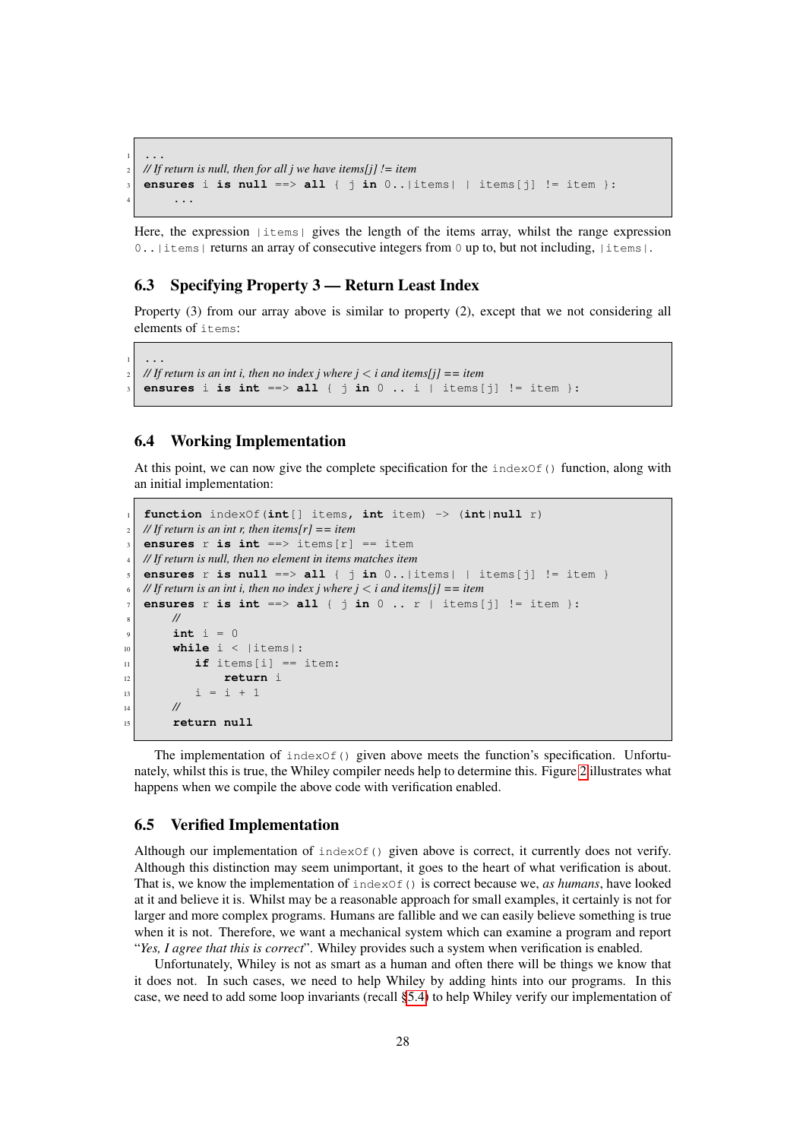```
\frac{1}{1} ...
2 // If return is null, then for all j we have items[j] != item
  ensures i is null ==> all { jn 0..|items| | items[j] != item }:
4 ...
```
Here, the expression  $|i$ tems $|$  gives the length of the items array, whilst the range expression 0... | items | returns an array of consecutive integers from 0 up to, but not including, | items |.

#### <span id="page-27-0"></span>6.3 Specifying Property 3 — Return Least Index

Property (3) from our array above is similar to property (2), except that we not considering all elements of items:

```
\frac{1}{1} ...
2 // If return is an int i, then no index j where j < i and items[j] == item
  ensures i is int ==> all { jn 0 .. i | items[j] != item }:
```
#### <span id="page-27-1"></span>6.4 Working Implementation

At this point, we can now give the complete specification for the  $indexOf()$  function, along with an initial implementation:

```
1 function indexOf(int[] items, int item) -> (int|null r)
  // If return is an int r, then items[r] == item
   ensures r is int ==> items[r] == item
  4 // If return is null, then no element in items matches item
   ensures r is null ==> \text{all} { \text{j} in 0..|items| | items[\text{j}] != item }
  6 // If return is an int i, then no index j where j < i and items[j] == item
   ensures r is int ==> all { \dot{\text{j}} in 0 .. r | items[\dot{\text{j}}] != item }:
        8 //
        int i = 010 while i < |items|:
\text{if} items[i] == item:
12 return i
13 i = i + 1
\frac{14}{14} //
15 return null
```
The implementation of  $indexOf()$  given above meets the function's specification. Unfortunately, whilst this is true, the Whiley compiler needs help to determine this. Figure [2](#page-28-0) illustrates what happens when we compile the above code with verification enabled.

#### <span id="page-27-2"></span>6.5 Verified Implementation

Although our implementation of  $indexOf()$  given above is correct, it currently does not verify. Although this distinction may seem unimportant, it goes to the heart of what verification is about. That is, we know the implementation of indexOf() is correct because we, *as humans*, have looked at it and believe it is. Whilst may be a reasonable approach for small examples, it certainly is not for larger and more complex programs. Humans are fallible and we can easily believe something is true when it is not. Therefore, we want a mechanical system which can examine a program and report "*Yes, I agree that this is correct*". Whiley provides such a system when verification is enabled.

Unfortunately, Whiley is not as smart as a human and often there will be things we know that it does not. In such cases, we need to help Whiley by adding hints into our programs. In this case, we need to add some loop invariants (recall [§5.4\)](#page-23-0) to help Whiley verify our implementation of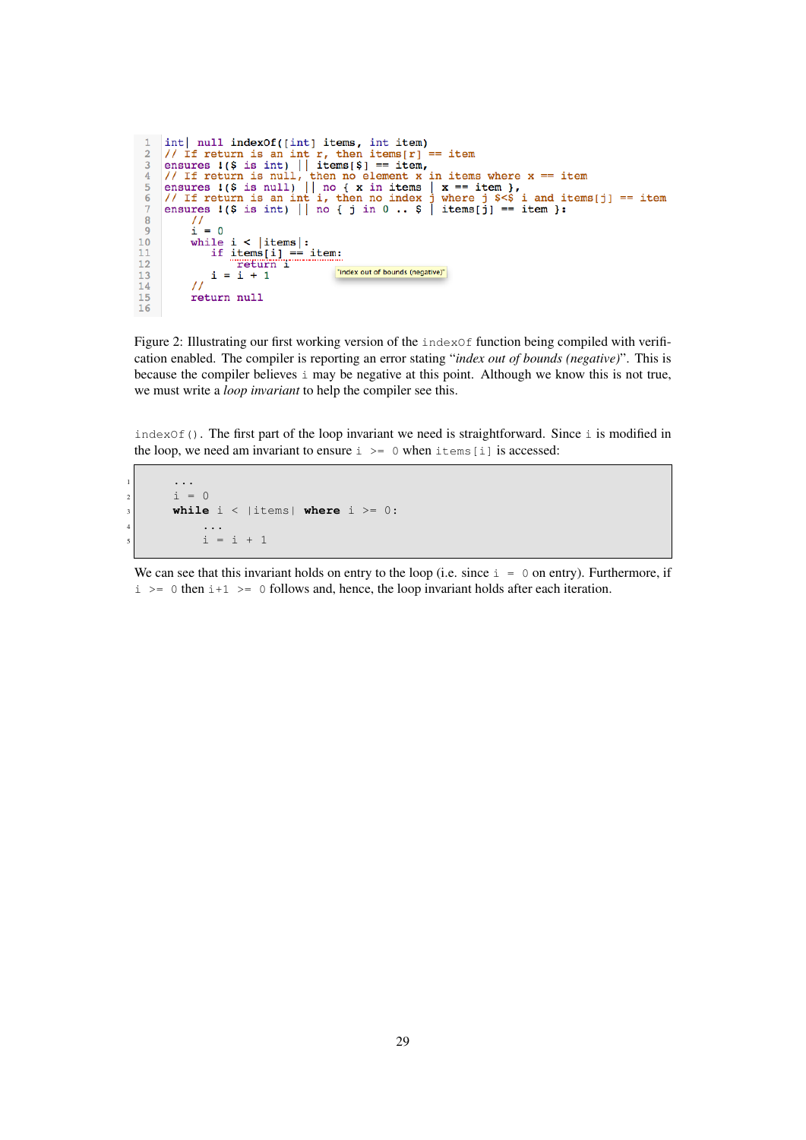```
\overline{1}int | null indexOf([int] items, int item)
         int| null indexOf([int] items, int item)<br>
// If return is an int r, then items[r] == item<br>
ensures !($ is int) || items[$] == item,<br>
// If return is null, then no element x in items where x == item<br>
ensures !($ is null) |
  \overline{2}\mathbf{R}\overline{4}\overline{5}\overline{6}\overline{7}\overline{8}\begin{pmatrix} 1 \\ 1 \end{pmatrix} = 0\overline{9}10while i < |items|:
                          if items[i] == item:<br>return 1
1112"index out of bounds (negative)"
                          i = i + 113\frac{1}{2}14
15
                   return null
16
```
<span id="page-28-0"></span>Figure 2: Illustrating our first working version of the  $indexOf$  function being compiled with verification enabled. The compiler is reporting an error stating "*index out of bounds (negative)*". This is because the compiler believes i may be negative at this point. Although we know this is not true, we must write a *loop invariant* to help the compiler see this.

indexOf(). The first part of the loop invariant we need is straightforward. Since i is modified in the loop, we need am invariant to ensure  $i \ge 0$  when items [i] is accessed:

```
1 ...
\begin{vmatrix} 1 & 1 \\ 1 & 2 \end{vmatrix} = 0while i < |items| where i >= 0:
\begin{array}{ccc} \hline \end{array} ...
                    i = i + 1
```
We can see that this invariant holds on entry to the loop (i.e. since  $i = 0$  on entry). Furthermore, if  $i \ge 0$  then  $i+1 \ge 0$  follows and, hence, the loop invariant holds after each iteration.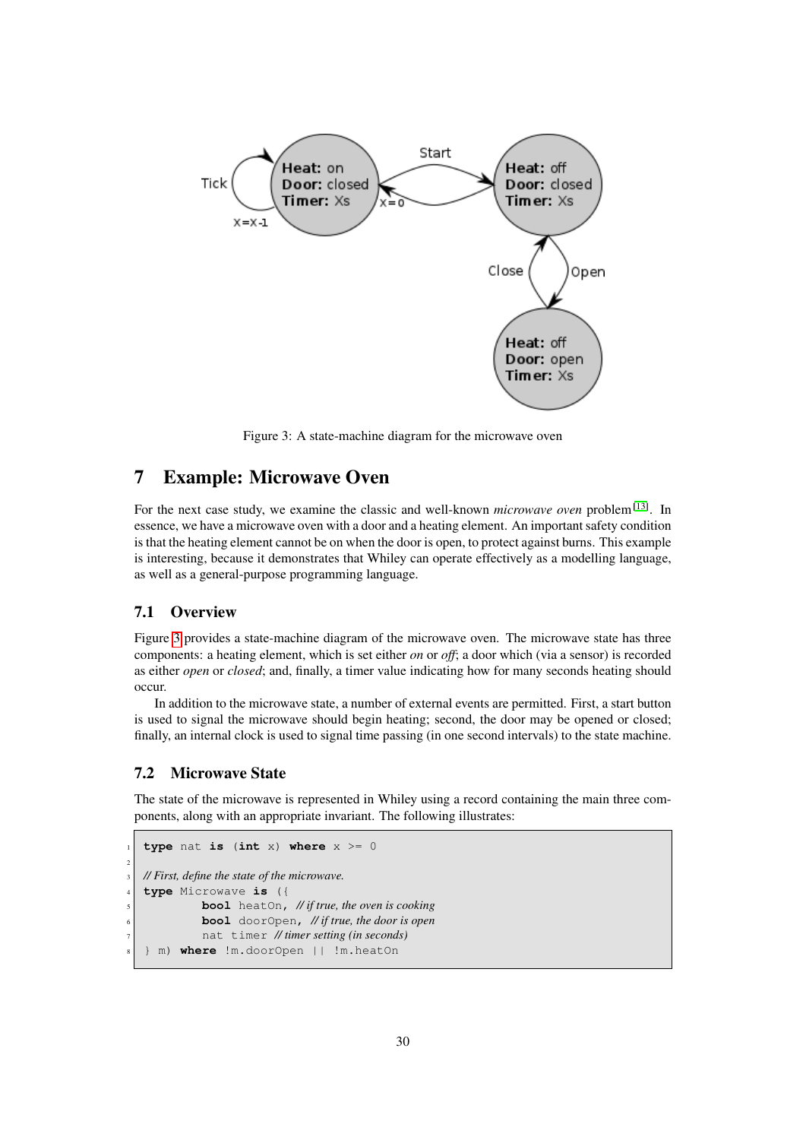

<span id="page-29-3"></span>Figure 3: A state-machine diagram for the microwave oven

# <span id="page-29-0"></span>7 Example: Microwave Oven

For the next case study, we examine the classic and well-known *microwave oven* problem<sup>[\[13\]](#page-32-10)</sup>. In essence, we have a microwave oven with a door and a heating element. An important safety condition is that the heating element cannot be on when the door is open, to protect against burns. This example is interesting, because it demonstrates that Whiley can operate effectively as a modelling language, as well as a general-purpose programming language.

#### <span id="page-29-1"></span>7.1 Overview

Figure [3](#page-29-3) provides a state-machine diagram of the microwave oven. The microwave state has three components: a heating element, which is set either *on* or *off*; a door which (via a sensor) is recorded as either *open* or *closed*; and, finally, a timer value indicating how for many seconds heating should occur.

In addition to the microwave state, a number of external events are permitted. First, a start button is used to signal the microwave should begin heating; second, the door may be opened or closed; finally, an internal clock is used to signal time passing (in one second intervals) to the state machine.

#### <span id="page-29-2"></span>7.2 Microwave State

The state of the microwave is represented in Whiley using a record containing the main three components, along with an appropriate invariant. The following illustrates:

```
type nat is (int x) where x \ge 02
  3 // First, define the state of the microwave.
  4 type Microwave is ({
             5 bool heatOn, // if true, the oven is cooking
             6 bool doorOpen, // if true, the door is open
             7 nat timer // timer setting (in seconds)
  8 } m) where !m.doorOpen || !m.heatOn
```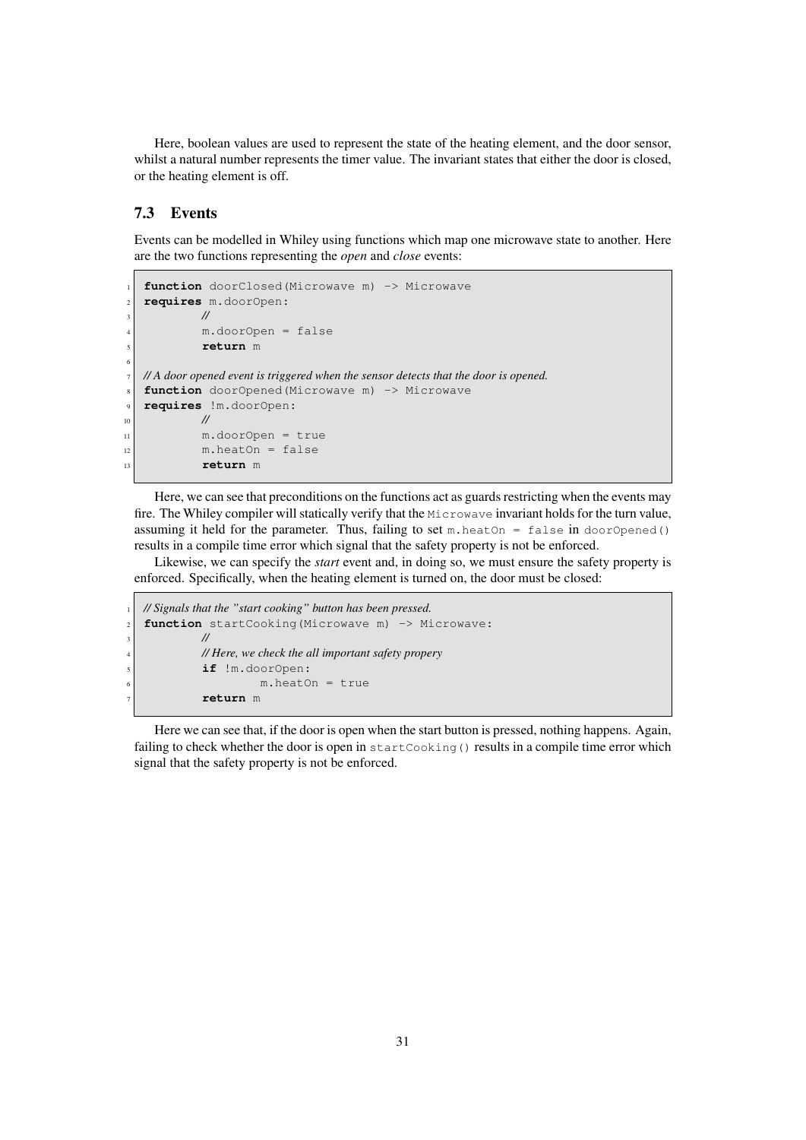Here, boolean values are used to represent the state of the heating element, and the door sensor, whilst a natural number represents the timer value. The invariant states that either the door is closed, or the heating element is off.

#### <span id="page-30-0"></span>7.3 Events

Events can be modelled in Whiley using functions which map one microwave state to another. Here are the two functions representing the *open* and *close* events:

```
function doorClosed(Microwave m) -> Microwave
   2 requires m.doorOpen:
           3 //
           4 m.doorOpen = false
           5 return m
6
  7 // A door opened event is triggered when the sensor detects that the door is opened.
   function doorOpened(Microwave m) -> Microwave
9 requires !m.doorOpen:
10 //
\lfloor n \rfloor m.doorOpen = true
m.\text{heatOn} = \text{false}13 return m
```
Here, we can see that preconditions on the functions act as guards restricting when the events may fire. The Whiley compiler will statically verify that the Microwave invariant holds for the turn value, assuming it held for the parameter. Thus, failing to set  $m$ . heat On = false in door Opened() results in a compile time error which signal that the safety property is not be enforced.

Likewise, we can specify the *start* event and, in doing so, we must ensure the safety property is enforced. Specifically, when the heating element is turned on, the door must be closed:

```
1 // Signals that the "start cooking" button has been pressed.
<sup>2</sup> function startCooking (Microwave m) -> Microwave:
3 //
             4 // Here, we check the all important safety propery
             5 if !m.doorOpen:
                       m.heatOn = true7 return m
```
Here we can see that, if the door is open when the start button is pressed, nothing happens. Again, failing to check whether the door is open in startCooking() results in a compile time error which signal that the safety property is not be enforced.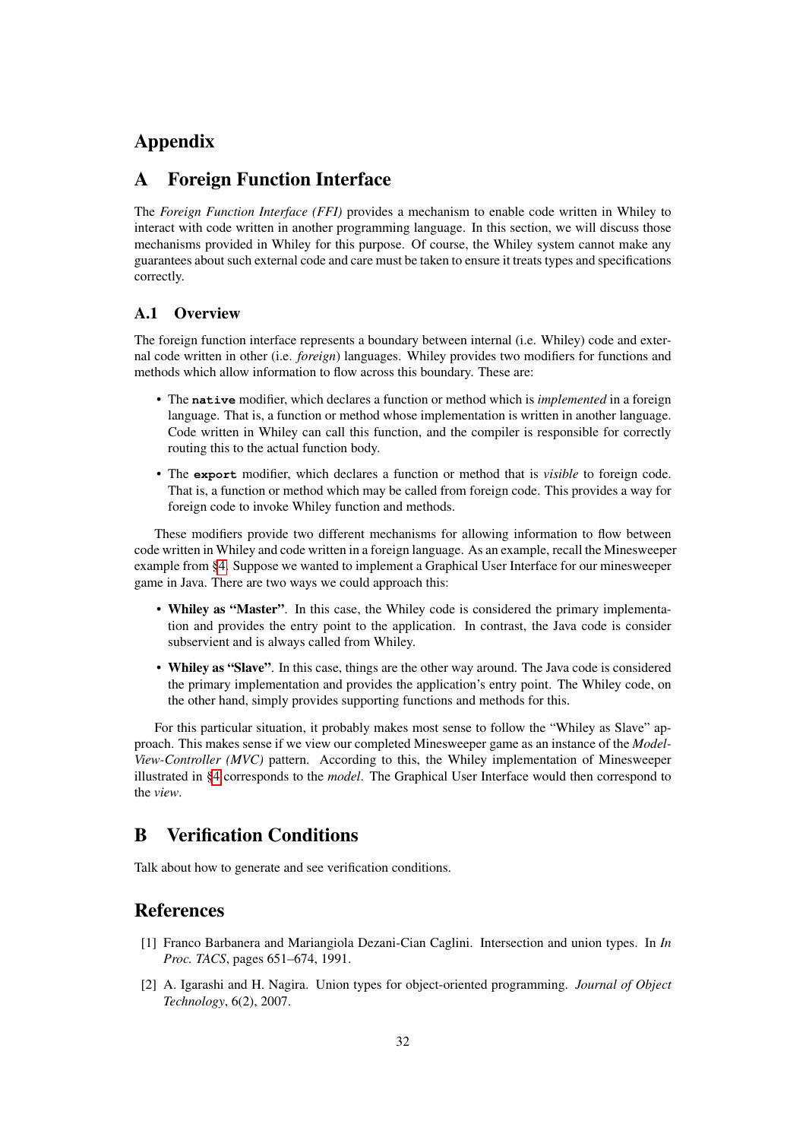# Appendix

# <span id="page-31-0"></span>A Foreign Function Interface

The *Foreign Function Interface (FFI)* provides a mechanism to enable code written in Whiley to interact with code written in another programming language. In this section, we will discuss those mechanisms provided in Whiley for this purpose. Of course, the Whiley system cannot make any guarantees about such external code and care must be taken to ensure it treats types and specifications correctly.

#### <span id="page-31-1"></span>A.1 Overview

The foreign function interface represents a boundary between internal (i.e. Whiley) code and external code written in other (i.e. *foreign*) languages. Whiley provides two modifiers for functions and methods which allow information to flow across this boundary. These are:

- The **native** modifier, which declares a function or method which is *implemented* in a foreign language. That is, a function or method whose implementation is written in another language. Code written in Whiley can call this function, and the compiler is responsible for correctly routing this to the actual function body.
- The **export** modifier, which declares a function or method that is *visible* to foreign code. That is, a function or method which may be called from foreign code. This provides a way for foreign code to invoke Whiley function and methods.

These modifiers provide two different mechanisms for allowing information to flow between code written in Whiley and code written in a foreign language. As an example, recall the Minesweeper example from [§4.](#page-12-0) Suppose we wanted to implement a Graphical User Interface for our minesweeper game in Java. There are two ways we could approach this:

- Whiley as "Master". In this case, the Whiley code is considered the primary implementation and provides the entry point to the application. In contrast, the Java code is consider subservient and is always called from Whiley.
- Whiley as "Slave". In this case, things are the other way around. The Java code is considered the primary implementation and provides the application's entry point. The Whiley code, on the other hand, simply provides supporting functions and methods for this.

For this particular situation, it probably makes most sense to follow the "Whiley as Slave" approach. This makes sense if we view our completed Minesweeper game as an instance of the *Model-View-Controller (MVC)* pattern. According to this, the Whiley implementation of Minesweeper illustrated in [§4](#page-12-0) corresponds to the *model*. The Graphical User Interface would then correspond to the *view*.

# <span id="page-31-2"></span>B Verification Conditions

Talk about how to generate and see verification conditions.

# References

- <span id="page-31-3"></span>[1] Franco Barbanera and Mariangiola Dezani-Cian Caglini. Intersection and union types. In *In Proc. TACS*, pages 651–674, 1991.
- <span id="page-31-4"></span>[2] A. Igarashi and H. Nagira. Union types for object-oriented programming. *Journal of Object Technology*, 6(2), 2007.